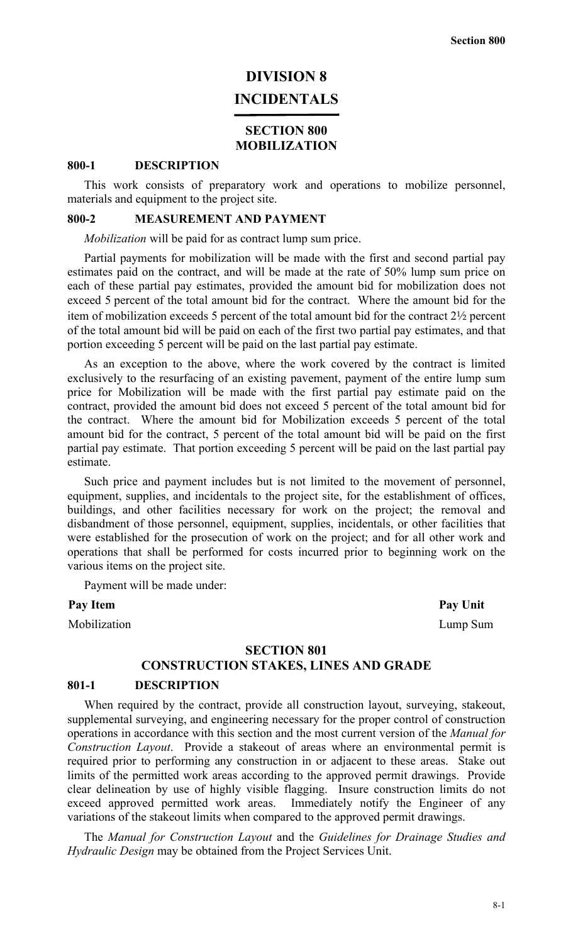## **DIVISION 8 INCIDENTALS**

## **SECTION 800 MOBILIZATION**

#### **800-1 DESCRIPTION**

This work consists of preparatory work and operations to mobilize personnel, materials and equipment to the project site.

#### **800-2 MEASUREMENT AND PAYMENT**

*Mobilization* will be paid for as contract lump sum price.

Partial payments for mobilization will be made with the first and second partial pay estimates paid on the contract, and will be made at the rate of 50% lump sum price on each of these partial pay estimates, provided the amount bid for mobilization does not exceed 5 percent of the total amount bid for the contract. Where the amount bid for the item of mobilization exceeds 5 percent of the total amount bid for the contract 2½ percent of the total amount bid will be paid on each of the first two partial pay estimates, and that portion exceeding 5 percent will be paid on the last partial pay estimate.

As an exception to the above, where the work covered by the contract is limited exclusively to the resurfacing of an existing pavement, payment of the entire lump sum price for Mobilization will be made with the first partial pay estimate paid on the contract, provided the amount bid does not exceed 5 percent of the total amount bid for the contract. Where the amount bid for Mobilization exceeds 5 percent of the total amount bid for the contract, 5 percent of the total amount bid will be paid on the first partial pay estimate. That portion exceeding 5 percent will be paid on the last partial pay estimate.

Such price and payment includes but is not limited to the movement of personnel, equipment, supplies, and incidentals to the project site, for the establishment of offices, buildings, and other facilities necessary for work on the project; the removal and disbandment of those personnel, equipment, supplies, incidentals, or other facilities that were established for the prosecution of work on the project; and for all other work and operations that shall be performed for costs incurred prior to beginning work on the various items on the project site.

Payment will be made under:

Pay Item Pay Unit

Mobilization Lump Sum

## **SECTION 801 CONSTRUCTION STAKES, LINES AND GRADE**

#### **801-1 DESCRIPTION**

When required by the contract, provide all construction layout, surveying, stakeout, supplemental surveying, and engineering necessary for the proper control of construction operations in accordance with this section and the most current version of the *Manual for Construction Layout*. Provide a stakeout of areas where an environmental permit is required prior to performing any construction in or adjacent to these areas. Stake out limits of the permitted work areas according to the approved permit drawings. Provide clear delineation by use of highly visible flagging. Insure construction limits do not exceed approved permitted work areas. Immediately notify the Engineer of any variations of the stakeout limits when compared to the approved permit drawings.

The *Manual for Construction Layout* and the *Guidelines for Drainage Studies and Hydraulic Design* may be obtained from the Project Services Unit.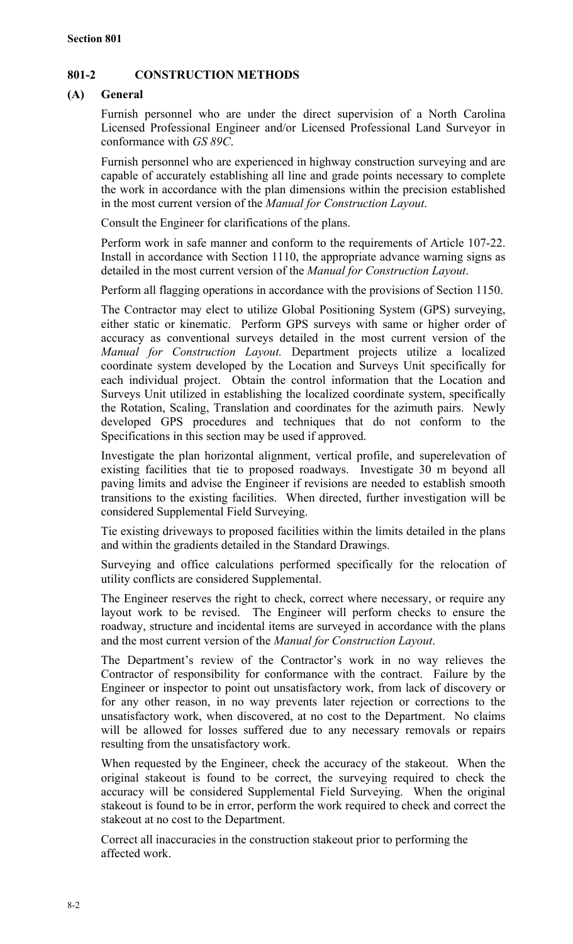## **801-2 CONSTRUCTION METHODS**

## **(A) General**

Furnish personnel who are under the direct supervision of a North Carolina Licensed Professional Engineer and/or Licensed Professional Land Surveyor in conformance with *GS 89C*.

Furnish personnel who are experienced in highway construction surveying and are capable of accurately establishing all line and grade points necessary to complete the work in accordance with the plan dimensions within the precision established in the most current version of the *Manual for Construction Layout*.

Consult the Engineer for clarifications of the plans.

Perform work in safe manner and conform to the requirements of Article 107-22. Install in accordance with Section 1110, the appropriate advance warning signs as detailed in the most current version of the *Manual for Construction Layout*.

Perform all flagging operations in accordance with the provisions of Section 1150.

The Contractor may elect to utilize Global Positioning System (GPS) surveying, either static or kinematic. Perform GPS surveys with same or higher order of accuracy as conventional surveys detailed in the most current version of the *Manual for Construction Layout.* Department projects utilize a localized coordinate system developed by the Location and Surveys Unit specifically for each individual project. Obtain the control information that the Location and Surveys Unit utilized in establishing the localized coordinate system, specifically the Rotation, Scaling, Translation and coordinates for the azimuth pairs. Newly developed GPS procedures and techniques that do not conform to the Specifications in this section may be used if approved.

Investigate the plan horizontal alignment, vertical profile, and superelevation of existing facilities that tie to proposed roadways. Investigate 30 m beyond all paving limits and advise the Engineer if revisions are needed to establish smooth transitions to the existing facilities. When directed, further investigation will be considered Supplemental Field Surveying.

Tie existing driveways to proposed facilities within the limits detailed in the plans and within the gradients detailed in the Standard Drawings.

Surveying and office calculations performed specifically for the relocation of utility conflicts are considered Supplemental.

The Engineer reserves the right to check, correct where necessary, or require any layout work to be revised. The Engineer will perform checks to ensure the roadway, structure and incidental items are surveyed in accordance with the plans and the most current version of the *Manual for Construction Layout*.

The Department's review of the Contractor's work in no way relieves the Contractor of responsibility for conformance with the contract. Failure by the Engineer or inspector to point out unsatisfactory work, from lack of discovery or for any other reason, in no way prevents later rejection or corrections to the unsatisfactory work, when discovered, at no cost to the Department. No claims will be allowed for losses suffered due to any necessary removals or repairs resulting from the unsatisfactory work.

When requested by the Engineer, check the accuracy of the stakeout. When the original stakeout is found to be correct, the surveying required to check the accuracy will be considered Supplemental Field Surveying. When the original stakeout is found to be in error, perform the work required to check and correct the stakeout at no cost to the Department.

Correct all inaccuracies in the construction stakeout prior to performing the affected work.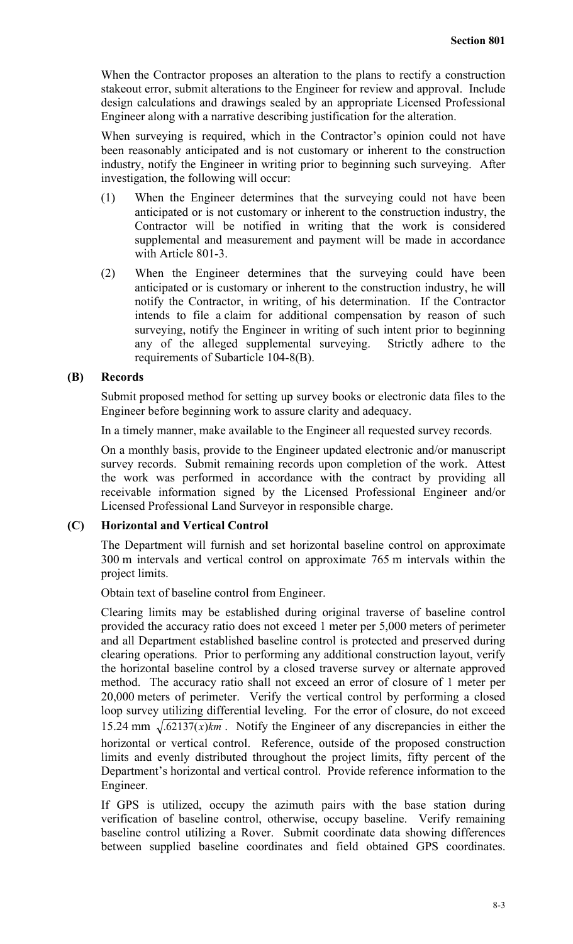When the Contractor proposes an alteration to the plans to rectify a construction stakeout error, submit alterations to the Engineer for review and approval. Include design calculations and drawings sealed by an appropriate Licensed Professional Engineer along with a narrative describing justification for the alteration.

When surveying is required, which in the Contractor's opinion could not have been reasonably anticipated and is not customary or inherent to the construction industry, notify the Engineer in writing prior to beginning such surveying. After investigation, the following will occur:

- (1) When the Engineer determines that the surveying could not have been anticipated or is not customary or inherent to the construction industry, the Contractor will be notified in writing that the work is considered supplemental and measurement and payment will be made in accordance with Article 801-3.
- (2) When the Engineer determines that the surveying could have been anticipated or is customary or inherent to the construction industry, he will notify the Contractor, in writing, of his determination. If the Contractor intends to file a claim for additional compensation by reason of such surveying, notify the Engineer in writing of such intent prior to beginning any of the alleged supplemental surveying. Strictly adhere to the requirements of Subarticle 104-8(B).

#### **(B) Records**

Submit proposed method for setting up survey books or electronic data files to the Engineer before beginning work to assure clarity and adequacy.

In a timely manner, make available to the Engineer all requested survey records.

On a monthly basis, provide to the Engineer updated electronic and/or manuscript survey records. Submit remaining records upon completion of the work. Attest the work was performed in accordance with the contract by providing all receivable information signed by the Licensed Professional Engineer and/or Licensed Professional Land Surveyor in responsible charge.

## **(C) Horizontal and Vertical Control**

The Department will furnish and set horizontal baseline control on approximate 300 m intervals and vertical control on approximate 765 m intervals within the project limits.

Obtain text of baseline control from Engineer.

Clearing limits may be established during original traverse of baseline control provided the accuracy ratio does not exceed 1 meter per 5,000 meters of perimeter and all Department established baseline control is protected and preserved during clearing operations. Prior to performing any additional construction layout, verify the horizontal baseline control by a closed traverse survey or alternate approved method. The accuracy ratio shall not exceed an error of closure of 1 meter per 20,000 meters of perimeter. Verify the vertical control by performing a closed loop survey utilizing differential leveling. For the error of closure, do not exceed 15.24 mm  $\sqrt{.62137(x)}$ *km*. Notify the Engineer of any discrepancies in either the horizontal or vertical control. Reference, outside of the proposed construction limits and evenly distributed throughout the project limits, fifty percent of the Department's horizontal and vertical control. Provide reference information to the Engineer.

If GPS is utilized, occupy the azimuth pairs with the base station during verification of baseline control, otherwise, occupy baseline. Verify remaining baseline control utilizing a Rover. Submit coordinate data showing differences between supplied baseline coordinates and field obtained GPS coordinates.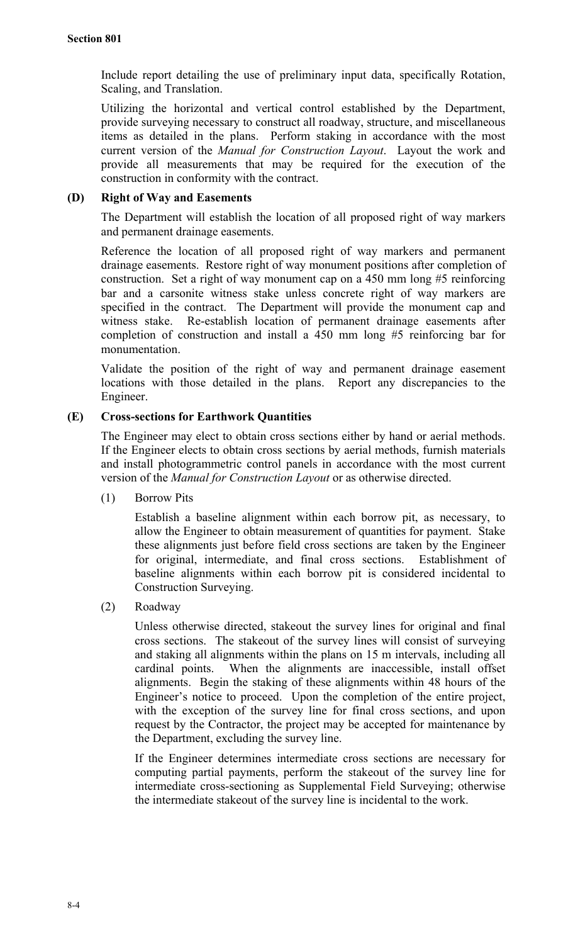Include report detailing the use of preliminary input data, specifically Rotation, Scaling, and Translation.

Utilizing the horizontal and vertical control established by the Department, provide surveying necessary to construct all roadway, structure, and miscellaneous items as detailed in the plans. Perform staking in accordance with the most current version of the *Manual for Construction Layout*. Layout the work and provide all measurements that may be required for the execution of the construction in conformity with the contract.

## **(D) Right of Way and Easements**

The Department will establish the location of all proposed right of way markers and permanent drainage easements.

Reference the location of all proposed right of way markers and permanent drainage easements. Restore right of way monument positions after completion of construction. Set a right of way monument cap on a 450 mm long #5 reinforcing bar and a carsonite witness stake unless concrete right of way markers are specified in the contract. The Department will provide the monument cap and witness stake. Re-establish location of permanent drainage easements after completion of construction and install a 450 mm long #5 reinforcing bar for monumentation.

Validate the position of the right of way and permanent drainage easement locations with those detailed in the plans. Report any discrepancies to the Engineer.

## **(E) Cross-sections for Earthwork Quantities**

The Engineer may elect to obtain cross sections either by hand or aerial methods. If the Engineer elects to obtain cross sections by aerial methods, furnish materials and install photogrammetric control panels in accordance with the most current version of the *Manual for Construction Layout* or as otherwise directed.

(1) Borrow Pits

Establish a baseline alignment within each borrow pit, as necessary, to allow the Engineer to obtain measurement of quantities for payment. Stake these alignments just before field cross sections are taken by the Engineer for original, intermediate, and final cross sections. Establishment of baseline alignments within each borrow pit is considered incidental to Construction Surveying.

(2) Roadway

Unless otherwise directed, stakeout the survey lines for original and final cross sections. The stakeout of the survey lines will consist of surveying and staking all alignments within the plans on 15 m intervals, including all cardinal points. When the alignments are inaccessible, install offset alignments. Begin the staking of these alignments within 48 hours of the Engineer's notice to proceed. Upon the completion of the entire project, with the exception of the survey line for final cross sections, and upon request by the Contractor, the project may be accepted for maintenance by the Department, excluding the survey line.

If the Engineer determines intermediate cross sections are necessary for computing partial payments, perform the stakeout of the survey line for intermediate cross-sectioning as Supplemental Field Surveying; otherwise the intermediate stakeout of the survey line is incidental to the work.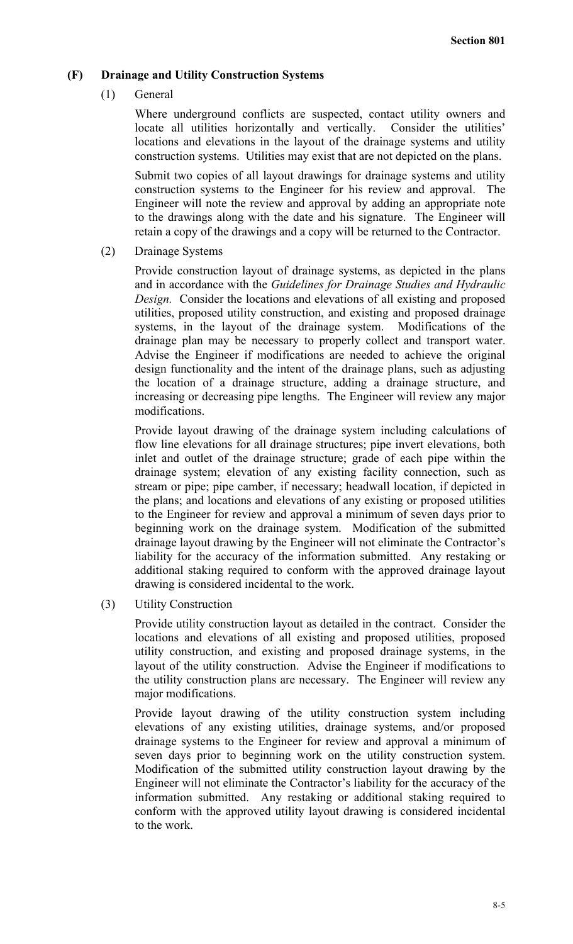## **(F) Drainage and Utility Construction Systems**

(1) General

Where underground conflicts are suspected, contact utility owners and locate all utilities horizontally and vertically. Consider the utilities' locations and elevations in the layout of the drainage systems and utility construction systems. Utilities may exist that are not depicted on the plans.

Submit two copies of all layout drawings for drainage systems and utility construction systems to the Engineer for his review and approval. The Engineer will note the review and approval by adding an appropriate note to the drawings along with the date and his signature. The Engineer will retain a copy of the drawings and a copy will be returned to the Contractor.

(2) Drainage Systems

Provide construction layout of drainage systems, as depicted in the plans and in accordance with the *Guidelines for Drainage Studies and Hydraulic Design.* Consider the locations and elevations of all existing and proposed utilities, proposed utility construction, and existing and proposed drainage systems, in the layout of the drainage system. Modifications of the drainage plan may be necessary to properly collect and transport water. Advise the Engineer if modifications are needed to achieve the original design functionality and the intent of the drainage plans, such as adjusting the location of a drainage structure, adding a drainage structure, and increasing or decreasing pipe lengths. The Engineer will review any major modifications.

Provide layout drawing of the drainage system including calculations of flow line elevations for all drainage structures; pipe invert elevations, both inlet and outlet of the drainage structure; grade of each pipe within the drainage system; elevation of any existing facility connection, such as stream or pipe; pipe camber, if necessary; headwall location, if depicted in the plans; and locations and elevations of any existing or proposed utilities to the Engineer for review and approval a minimum of seven days prior to beginning work on the drainage system. Modification of the submitted drainage layout drawing by the Engineer will not eliminate the Contractor's liability for the accuracy of the information submitted. Any restaking or additional staking required to conform with the approved drainage layout drawing is considered incidental to the work.

(3) Utility Construction

Provide utility construction layout as detailed in the contract. Consider the locations and elevations of all existing and proposed utilities, proposed utility construction, and existing and proposed drainage systems, in the layout of the utility construction. Advise the Engineer if modifications to the utility construction plans are necessary. The Engineer will review any major modifications.

Provide layout drawing of the utility construction system including elevations of any existing utilities, drainage systems, and/or proposed drainage systems to the Engineer for review and approval a minimum of seven days prior to beginning work on the utility construction system. Modification of the submitted utility construction layout drawing by the Engineer will not eliminate the Contractor's liability for the accuracy of the information submitted. Any restaking or additional staking required to conform with the approved utility layout drawing is considered incidental to the work.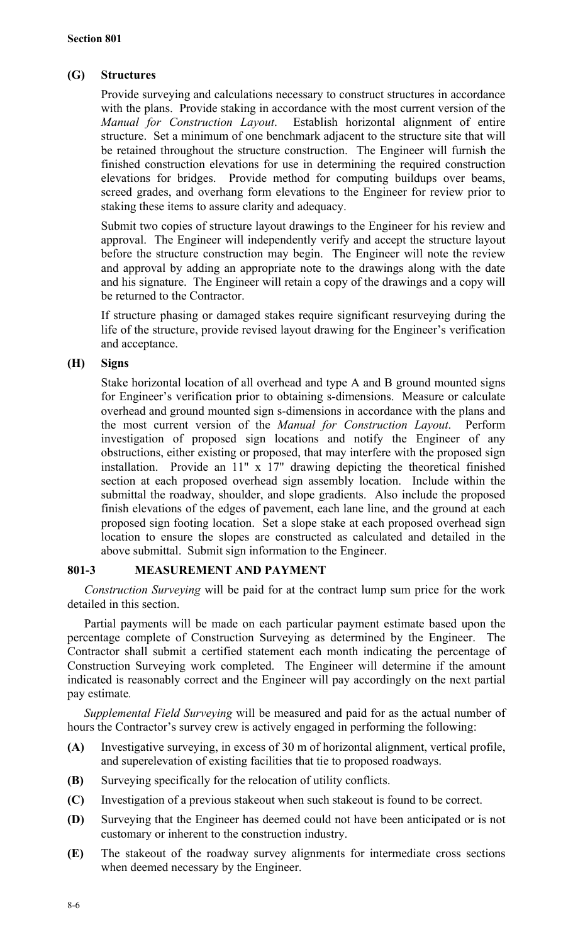## **(G) Structures**

Provide surveying and calculations necessary to construct structures in accordance with the plans. Provide staking in accordance with the most current version of the *Manual for Construction Layout*. Establish horizontal alignment of entire structure. Set a minimum of one benchmark adjacent to the structure site that will be retained throughout the structure construction. The Engineer will furnish the finished construction elevations for use in determining the required construction elevations for bridges. Provide method for computing buildups over beams, screed grades, and overhang form elevations to the Engineer for review prior to staking these items to assure clarity and adequacy.

Submit two copies of structure layout drawings to the Engineer for his review and approval. The Engineer will independently verify and accept the structure layout before the structure construction may begin. The Engineer will note the review and approval by adding an appropriate note to the drawings along with the date and his signature. The Engineer will retain a copy of the drawings and a copy will be returned to the Contractor.

If structure phasing or damaged stakes require significant resurveying during the life of the structure, provide revised layout drawing for the Engineer's verification and acceptance.

## **(H) Signs**

Stake horizontal location of all overhead and type A and B ground mounted signs for Engineer's verification prior to obtaining s-dimensions. Measure or calculate overhead and ground mounted sign s-dimensions in accordance with the plans and the most current version of the *Manual for Construction Layout*. Perform investigation of proposed sign locations and notify the Engineer of any obstructions, either existing or proposed, that may interfere with the proposed sign installation. Provide an 11" x 17" drawing depicting the theoretical finished section at each proposed overhead sign assembly location. Include within the submittal the roadway, shoulder, and slope gradients. Also include the proposed finish elevations of the edges of pavement, each lane line, and the ground at each proposed sign footing location. Set a slope stake at each proposed overhead sign location to ensure the slopes are constructed as calculated and detailed in the above submittal. Submit sign information to the Engineer.

## **801-3 MEASUREMENT AND PAYMENT**

*Construction Surveying* will be paid for at the contract lump sum price for the work detailed in this section.

Partial payments will be made on each particular payment estimate based upon the percentage complete of Construction Surveying as determined by the Engineer. The Contractor shall submit a certified statement each month indicating the percentage of Construction Surveying work completed. The Engineer will determine if the amount indicated is reasonably correct and the Engineer will pay accordingly on the next partial pay estimate*.*

*Supplemental Field Surveying* will be measured and paid for as the actual number of hours the Contractor's survey crew is actively engaged in performing the following:

- **(A)** Investigative surveying, in excess of 30 m of horizontal alignment, vertical profile, and superelevation of existing facilities that tie to proposed roadways.
- **(B)** Surveying specifically for the relocation of utility conflicts.
- **(C)** Investigation of a previous stakeout when such stakeout is found to be correct.
- **(D)** Surveying that the Engineer has deemed could not have been anticipated or is not customary or inherent to the construction industry.
- **(E)** The stakeout of the roadway survey alignments for intermediate cross sections when deemed necessary by the Engineer.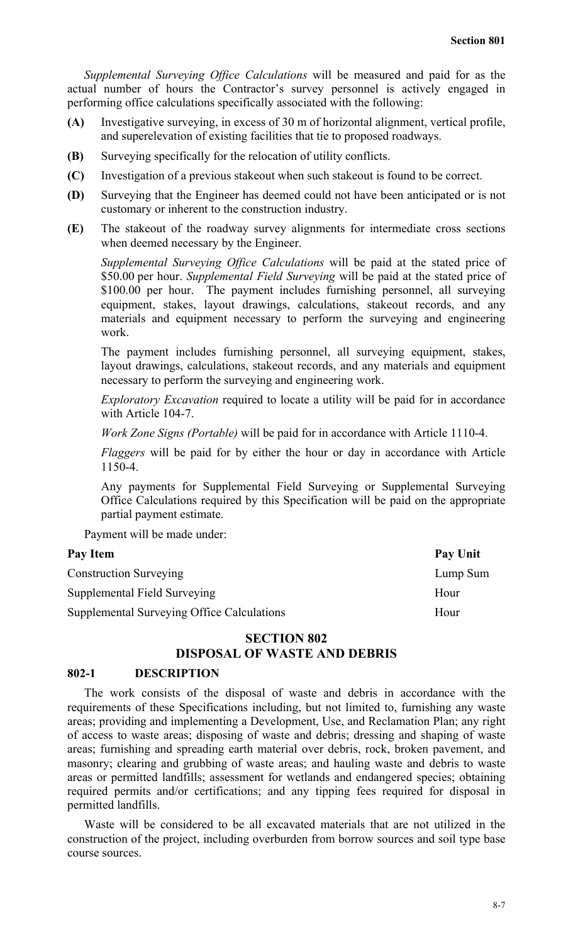*Supplemental Surveying Office Calculations* will be measured and paid for as the actual number of hours the Contractor's survey personnel is actively engaged in performing office calculations specifically associated with the following:

- **(A)** Investigative surveying, in excess of 30 m of horizontal alignment, vertical profile, and superelevation of existing facilities that tie to proposed roadways.
- **(B)** Surveying specifically for the relocation of utility conflicts.
- **(C)** Investigation of a previous stakeout when such stakeout is found to be correct.
- **(D)** Surveying that the Engineer has deemed could not have been anticipated or is not customary or inherent to the construction industry.
- **(E)** The stakeout of the roadway survey alignments for intermediate cross sections when deemed necessary by the Engineer.

*Supplemental Surveying Office Calculations* will be paid at the stated price of \$50.00 per hour. *Supplemental Field Surveying* will be paid at the stated price of \$100.00 per hour. The payment includes furnishing personnel, all surveying equipment, stakes, layout drawings, calculations, stakeout records, and any materials and equipment necessary to perform the surveying and engineering work.

The payment includes furnishing personnel, all surveying equipment, stakes, layout drawings, calculations, stakeout records, and any materials and equipment necessary to perform the surveying and engineering work.

*Exploratory Excavation* required to locate a utility will be paid for in accordance with Article 104-7.

*Work Zone Signs (Portable)* will be paid for in accordance with Article 1110-4.

*Flaggers* will be paid for by either the hour or day in accordance with Article 1150-4.

Any payments for Supplemental Field Surveying or Supplemental Surveying Office Calculations required by this Specification will be paid on the appropriate partial payment estimate.

Payment will be made under:

| Pay Unit |
|----------|
| Lump Sum |
| Hour     |
| Hour     |
|          |

## **SECTION 802 DISPOSAL OF WASTE AND DEBRIS**

#### **802-1 DESCRIPTION**

The work consists of the disposal of waste and debris in accordance with the requirements of these Specifications including, but not limited to, furnishing any waste areas; providing and implementing a Development, Use, and Reclamation Plan; any right of access to waste areas; disposing of waste and debris; dressing and shaping of waste areas; furnishing and spreading earth material over debris, rock, broken pavement, and masonry; clearing and grubbing of waste areas; and hauling waste and debris to waste areas or permitted landfills; assessment for wetlands and endangered species; obtaining required permits and/or certifications; and any tipping fees required for disposal in permitted landfills.

Waste will be considered to be all excavated materials that are not utilized in the construction of the project, including overburden from borrow sources and soil type base course sources.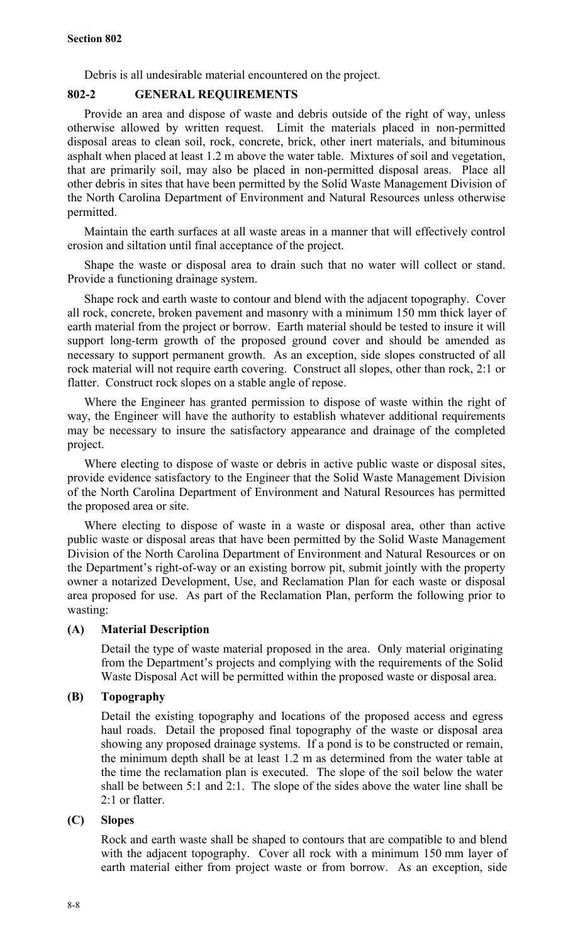Debris is all undesirable material encountered on the project.

## **802-2 GENERAL REQUIREMENTS**

Provide an area and dispose of waste and debris outside of the right of way, unless otherwise allowed by written request. Limit the materials placed in non-permitted disposal areas to clean soil, rock, concrete, brick, other inert materials, and bituminous asphalt when placed at least 1.2 m above the water table. Mixtures of soil and vegetation, that are primarily soil, may also be placed in non-permitted disposal areas. Place all other debris in sites that have been permitted by the Solid Waste Management Division of the North Carolina Department of Environment and Natural Resources unless otherwise permitted.

Maintain the earth surfaces at all waste areas in a manner that will effectively control erosion and siltation until final acceptance of the project.

Shape the waste or disposal area to drain such that no water will collect or stand. Provide a functioning drainage system.

Shape rock and earth waste to contour and blend with the adjacent topography. Cover all rock, concrete, broken pavement and masonry with a minimum 150 mm thick layer of earth material from the project or borrow. Earth material should be tested to insure it will support long-term growth of the proposed ground cover and should be amended as necessary to support permanent growth. As an exception, side slopes constructed of all rock material will not require earth covering. Construct all slopes, other than rock, 2:1 or flatter. Construct rock slopes on a stable angle of repose.

Where the Engineer has granted permission to dispose of waste within the right of way, the Engineer will have the authority to establish whatever additional requirements may be necessary to insure the satisfactory appearance and drainage of the completed project.

Where electing to dispose of waste or debris in active public waste or disposal sites, provide evidence satisfactory to the Engineer that the Solid Waste Management Division of the North Carolina Department of Environment and Natural Resources has permitted the proposed area or site.

Where electing to dispose of waste in a waste or disposal area, other than active public waste or disposal areas that have been permitted by the Solid Waste Management Division of the North Carolina Department of Environment and Natural Resources or on the Department's right-of-way or an existing borrow pit, submit jointly with the property owner a notarized Development, Use, and Reclamation Plan for each waste or disposal area proposed for use. As part of the Reclamation Plan, perform the following prior to wasting:

## **(A) Material Description**

Detail the type of waste material proposed in the area. Only material originating from the Department's projects and complying with the requirements of the Solid Waste Disposal Act will be permitted within the proposed waste or disposal area.

## **(B) Topography**

Detail the existing topography and locations of the proposed access and egress haul roads. Detail the proposed final topography of the waste or disposal area showing any proposed drainage systems. If a pond is to be constructed or remain, the minimum depth shall be at least 1.2 m as determined from the water table at the time the reclamation plan is executed. The slope of the soil below the water shall be between 5:1 and 2:1. The slope of the sides above the water line shall be 2:1 or flatter.

## **(C) Slopes**

Rock and earth waste shall be shaped to contours that are compatible to and blend with the adjacent topography. Cover all rock with a minimum 150 mm layer of earth material either from project waste or from borrow. As an exception, side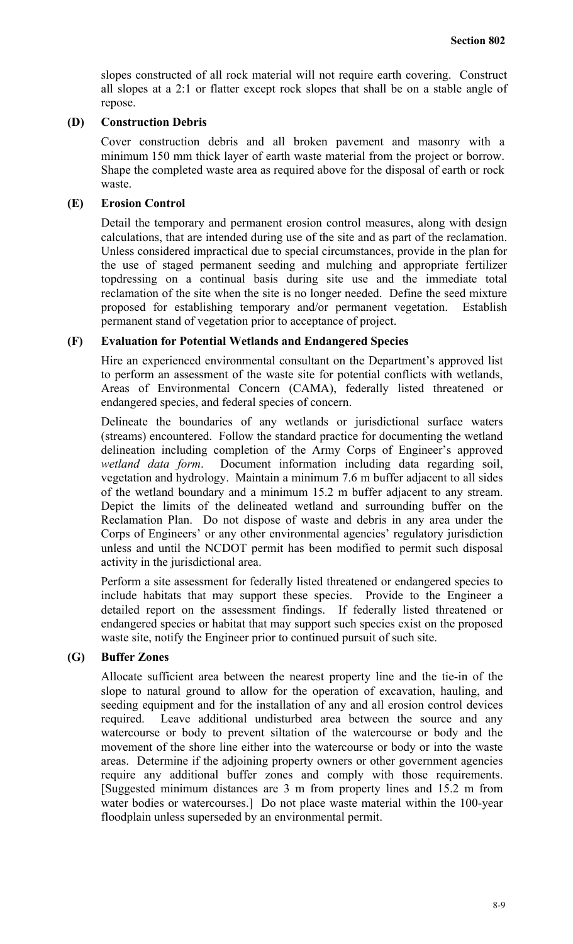slopes constructed of all rock material will not require earth covering. Construct all slopes at a 2:1 or flatter except rock slopes that shall be on a stable angle of repose.

#### **(D) Construction Debris**

Cover construction debris and all broken pavement and masonry with a minimum 150 mm thick layer of earth waste material from the project or borrow. Shape the completed waste area as required above for the disposal of earth or rock waste.

#### **(E) Erosion Control**

Detail the temporary and permanent erosion control measures, along with design calculations, that are intended during use of the site and as part of the reclamation. Unless considered impractical due to special circumstances, provide in the plan for the use of staged permanent seeding and mulching and appropriate fertilizer topdressing on a continual basis during site use and the immediate total reclamation of the site when the site is no longer needed. Define the seed mixture proposed for establishing temporary and/or permanent vegetation. Establish permanent stand of vegetation prior to acceptance of project.

## **(F) Evaluation for Potential Wetlands and Endangered Species**

Hire an experienced environmental consultant on the Department's approved list to perform an assessment of the waste site for potential conflicts with wetlands, Areas of Environmental Concern (CAMA), federally listed threatened or endangered species, and federal species of concern.

Delineate the boundaries of any wetlands or jurisdictional surface waters (streams) encountered. Follow the standard practice for documenting the wetland delineation including completion of the Army Corps of Engineer's approved *wetland data form*. Document information including data regarding soil, vegetation and hydrology. Maintain a minimum 7.6 m buffer adjacent to all sides of the wetland boundary and a minimum 15.2 m buffer adjacent to any stream. Depict the limits of the delineated wetland and surrounding buffer on the Reclamation Plan. Do not dispose of waste and debris in any area under the Corps of Engineers' or any other environmental agencies' regulatory jurisdiction unless and until the NCDOT permit has been modified to permit such disposal activity in the jurisdictional area.

Perform a site assessment for federally listed threatened or endangered species to include habitats that may support these species. Provide to the Engineer a detailed report on the assessment findings. If federally listed threatened or endangered species or habitat that may support such species exist on the proposed waste site, notify the Engineer prior to continued pursuit of such site.

## **(G) Buffer Zones**

Allocate sufficient area between the nearest property line and the tie-in of the slope to natural ground to allow for the operation of excavation, hauling, and seeding equipment and for the installation of any and all erosion control devices required. Leave additional undisturbed area between the source and any watercourse or body to prevent siltation of the watercourse or body and the movement of the shore line either into the watercourse or body or into the waste areas. Determine if the adjoining property owners or other government agencies require any additional buffer zones and comply with those requirements. [Suggested minimum distances are 3 m from property lines and 15.2 m from water bodies or watercourses.] Do not place waste material within the 100-year floodplain unless superseded by an environmental permit.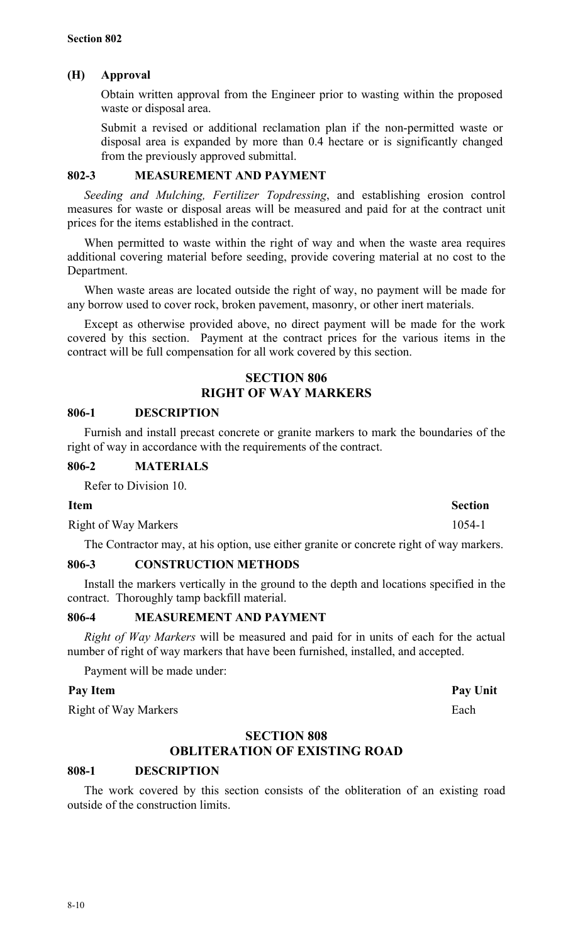## **(H) Approval**

Obtain written approval from the Engineer prior to wasting within the proposed waste or disposal area.

Submit a revised or additional reclamation plan if the non-permitted waste or disposal area is expanded by more than 0.4 hectare or is significantly changed from the previously approved submittal.

## **802-3 MEASUREMENT AND PAYMENT**

*Seeding and Mulching, Fertilizer Topdressing*, and establishing erosion control measures for waste or disposal areas will be measured and paid for at the contract unit prices for the items established in the contract.

When permitted to waste within the right of way and when the waste area requires additional covering material before seeding, provide covering material at no cost to the Department.

When waste areas are located outside the right of way, no payment will be made for any borrow used to cover rock, broken pavement, masonry, or other inert materials.

Except as otherwise provided above, no direct payment will be made for the work covered by this section. Payment at the contract prices for the various items in the contract will be full compensation for all work covered by this section.

## **SECTION 806 RIGHT OF WAY MARKERS**

## **806-1 DESCRIPTION**

Furnish and install precast concrete or granite markers to mark the boundaries of the right of way in accordance with the requirements of the contract.

## **806-2 MATERIALS**

Refer to Division 10.

Right of Way Markers 1054-1

The Contractor may, at his option, use either granite or concrete right of way markers.

## **806-3 CONSTRUCTION METHODS**

Install the markers vertically in the ground to the depth and locations specified in the contract. Thoroughly tamp backfill material.

## **806-4 MEASUREMENT AND PAYMENT**

*Right of Way Markers* will be measured and paid for in units of each for the actual number of right of way markers that have been furnished, installed, and accepted.

Payment will be made under:

## Pay Item Pay Unit

Right of Way Markers Each

## **SECTION 808 OBLITERATION OF EXISTING ROAD**

## **808-1 DESCRIPTION**

The work covered by this section consists of the obliteration of an existing road outside of the construction limits.

**Item** Section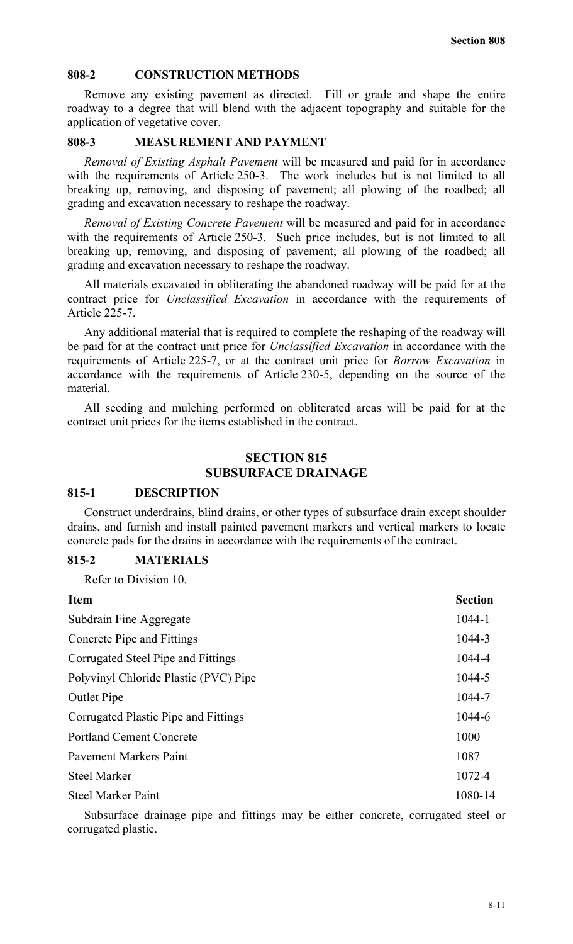#### **808-2 CONSTRUCTION METHODS**

Remove any existing pavement as directed. Fill or grade and shape the entire roadway to a degree that will blend with the adjacent topography and suitable for the application of vegetative cover.

#### **808-3 MEASUREMENT AND PAYMENT**

*Removal of Existing Asphalt Pavement* will be measured and paid for in accordance with the requirements of Article 250-3. The work includes but is not limited to all breaking up, removing, and disposing of pavement; all plowing of the roadbed; all grading and excavation necessary to reshape the roadway.

*Removal of Existing Concrete Pavement* will be measured and paid for in accordance with the requirements of Article 250-3. Such price includes, but is not limited to all breaking up, removing, and disposing of pavement; all plowing of the roadbed; all grading and excavation necessary to reshape the roadway.

All materials excavated in obliterating the abandoned roadway will be paid for at the contract price for *Unclassified Excavation* in accordance with the requirements of Article 225-7.

Any additional material that is required to complete the reshaping of the roadway will be paid for at the contract unit price for *Unclassified Excavation* in accordance with the requirements of Article 225-7, or at the contract unit price for *Borrow Excavation* in accordance with the requirements of Article 230-5, depending on the source of the material.

All seeding and mulching performed on obliterated areas will be paid for at the contract unit prices for the items established in the contract.

#### **SECTION 815 SUBSURFACE DRAINAGE**

#### **815-1 DESCRIPTION**

Construct underdrains, blind drains, or other types of subsurface drain except shoulder drains, and furnish and install painted pavement markers and vertical markers to locate concrete pads for the drains in accordance with the requirements of the contract.

#### **815-2 MATERIALS**

Refer to Division 10.

| <b>Item</b>                           | <b>Section</b> |
|---------------------------------------|----------------|
| Subdrain Fine Aggregate               | 1044-1         |
| Concrete Pipe and Fittings            | 1044-3         |
| Corrugated Steel Pipe and Fittings    | 1044-4         |
| Polyvinyl Chloride Plastic (PVC) Pipe | 1044-5         |
| <b>Outlet Pipe</b>                    | 1044-7         |
| Corrugated Plastic Pipe and Fittings  | 1044-6         |
| <b>Portland Cement Concrete</b>       | 1000           |
| <b>Pavement Markers Paint</b>         | 1087           |
| <b>Steel Marker</b>                   | 1072-4         |
| <b>Steel Marker Paint</b>             | 1080-14        |

Subsurface drainage pipe and fittings may be either concrete, corrugated steel or corrugated plastic.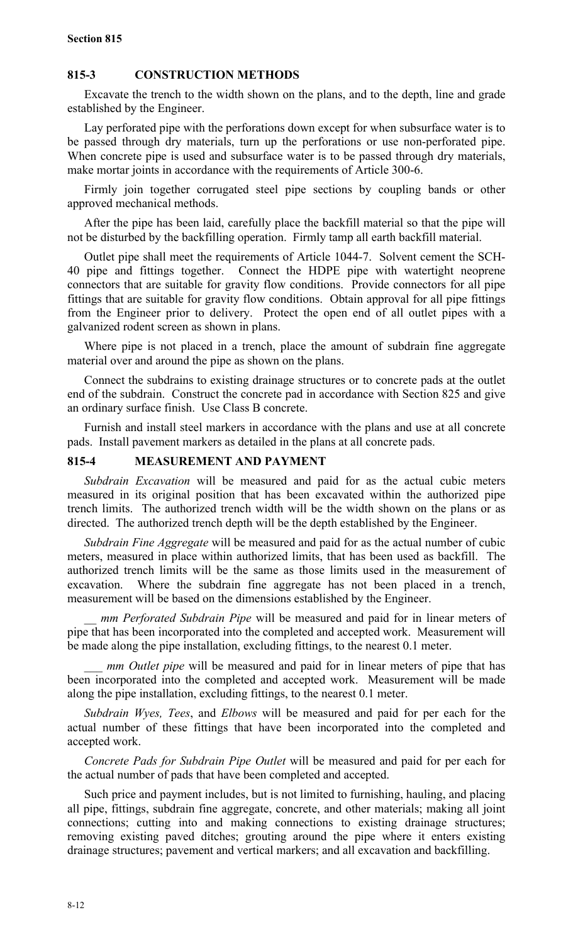#### **815-3 CONSTRUCTION METHODS**

Excavate the trench to the width shown on the plans, and to the depth, line and grade established by the Engineer.

Lay perforated pipe with the perforations down except for when subsurface water is to be passed through dry materials, turn up the perforations or use non-perforated pipe. When concrete pipe is used and subsurface water is to be passed through dry materials, make mortar joints in accordance with the requirements of Article 300-6.

Firmly join together corrugated steel pipe sections by coupling bands or other approved mechanical methods.

After the pipe has been laid, carefully place the backfill material so that the pipe will not be disturbed by the backfilling operation. Firmly tamp all earth backfill material.

Outlet pipe shall meet the requirements of Article 1044-7. Solvent cement the SCH-40 pipe and fittings together. Connect the HDPE pipe with watertight neoprene connectors that are suitable for gravity flow conditions. Provide connectors for all pipe fittings that are suitable for gravity flow conditions. Obtain approval for all pipe fittings from the Engineer prior to delivery. Protect the open end of all outlet pipes with a galvanized rodent screen as shown in plans.

Where pipe is not placed in a trench, place the amount of subdrain fine aggregate material over and around the pipe as shown on the plans.

Connect the subdrains to existing drainage structures or to concrete pads at the outlet end of the subdrain. Construct the concrete pad in accordance with Section 825 and give an ordinary surface finish. Use Class B concrete.

Furnish and install steel markers in accordance with the plans and use at all concrete pads. Install pavement markers as detailed in the plans at all concrete pads.

## **815-4 MEASUREMENT AND PAYMENT**

*Subdrain Excavation* will be measured and paid for as the actual cubic meters measured in its original position that has been excavated within the authorized pipe trench limits. The authorized trench width will be the width shown on the plans or as directed. The authorized trench depth will be the depth established by the Engineer.

*Subdrain Fine Aggregate* will be measured and paid for as the actual number of cubic meters, measured in place within authorized limits, that has been used as backfill. The authorized trench limits will be the same as those limits used in the measurement of excavation. Where the subdrain fine aggregate has not been placed in a trench, measurement will be based on the dimensions established by the Engineer.

*mm Perforated Subdrain Pipe* will be measured and paid for in linear meters of pipe that has been incorporated into the completed and accepted work. Measurement will be made along the pipe installation, excluding fittings, to the nearest 0.1 meter.

*mm Outlet pipe* will be measured and paid for in linear meters of pipe that has been incorporated into the completed and accepted work. Measurement will be made along the pipe installation, excluding fittings, to the nearest 0.1 meter.

*Subdrain Wyes, Tees*, and *Elbows* will be measured and paid for per each for the actual number of these fittings that have been incorporated into the completed and accepted work.

*Concrete Pads for Subdrain Pipe Outlet* will be measured and paid for per each for the actual number of pads that have been completed and accepted.

Such price and payment includes, but is not limited to furnishing, hauling, and placing all pipe, fittings, subdrain fine aggregate, concrete, and other materials; making all joint connections; cutting into and making connections to existing drainage structures; removing existing paved ditches; grouting around the pipe where it enters existing drainage structures; pavement and vertical markers; and all excavation and backfilling.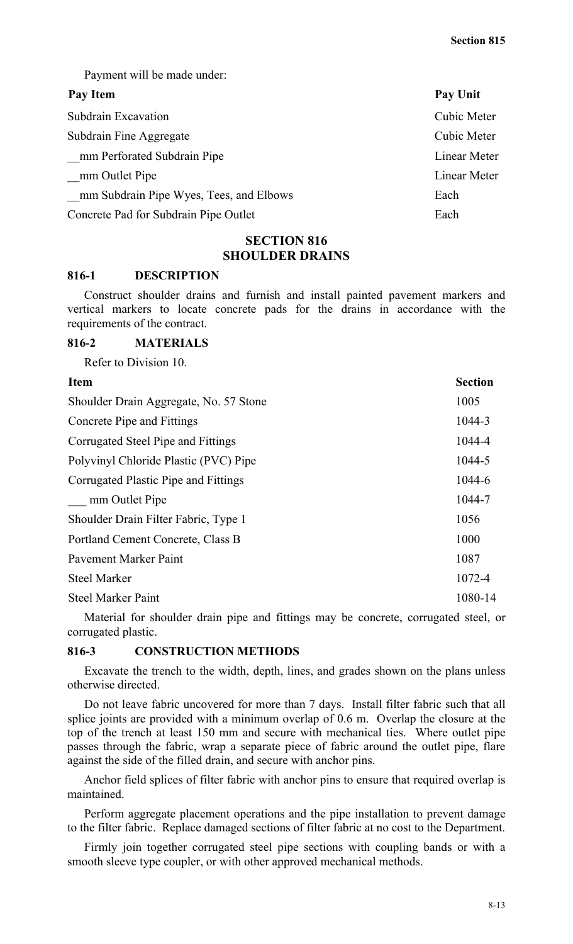Payment will be made under:

#### Pay Item Pay Unit

| Subdrain Excavation                     | <b>Cubic Meter</b> |
|-----------------------------------------|--------------------|
| Subdrain Fine Aggregate                 | Cubic Meter        |
| mm Perforated Subdrain Pipe             | Linear Meter       |
| mm Outlet Pipe                          | Linear Meter       |
| mm Subdrain Pipe Wyes, Tees, and Elbows | Each               |
| Concrete Pad for Subdrain Pipe Outlet   | Each               |

## **SECTION 816 SHOULDER DRAINS**

#### **816-1 DESCRIPTION**

Construct shoulder drains and furnish and install painted pavement markers and vertical markers to locate concrete pads for the drains in accordance with the requirements of the contract.

#### **816-2 MATERIALS**

Refer to Division 10.

| <b>Item</b>                            | <b>Section</b> |
|----------------------------------------|----------------|
| Shoulder Drain Aggregate, No. 57 Stone | 1005           |
| Concrete Pipe and Fittings             | 1044-3         |
| Corrugated Steel Pipe and Fittings     | 1044-4         |
| Polyvinyl Chloride Plastic (PVC) Pipe  | 1044-5         |
| Corrugated Plastic Pipe and Fittings   | 1044-6         |
| mm Outlet Pipe                         | 1044-7         |
| Shoulder Drain Filter Fabric, Type 1   | 1056           |
| Portland Cement Concrete, Class B      | 1000           |
| <b>Payement Marker Paint</b>           | 1087           |
| <b>Steel Marker</b>                    | 1072-4         |
| <b>Steel Marker Paint</b>              | 1080-14        |

Material for shoulder drain pipe and fittings may be concrete, corrugated steel, or corrugated plastic.

#### **816-3 CONSTRUCTION METHODS**

Excavate the trench to the width, depth, lines, and grades shown on the plans unless otherwise directed.

Do not leave fabric uncovered for more than 7 days. Install filter fabric such that all splice joints are provided with a minimum overlap of 0.6 m. Overlap the closure at the top of the trench at least 150 mm and secure with mechanical ties. Where outlet pipe passes through the fabric, wrap a separate piece of fabric around the outlet pipe, flare against the side of the filled drain, and secure with anchor pins.

Anchor field splices of filter fabric with anchor pins to ensure that required overlap is maintained.

Perform aggregate placement operations and the pipe installation to prevent damage to the filter fabric. Replace damaged sections of filter fabric at no cost to the Department.

Firmly join together corrugated steel pipe sections with coupling bands or with a smooth sleeve type coupler, or with other approved mechanical methods.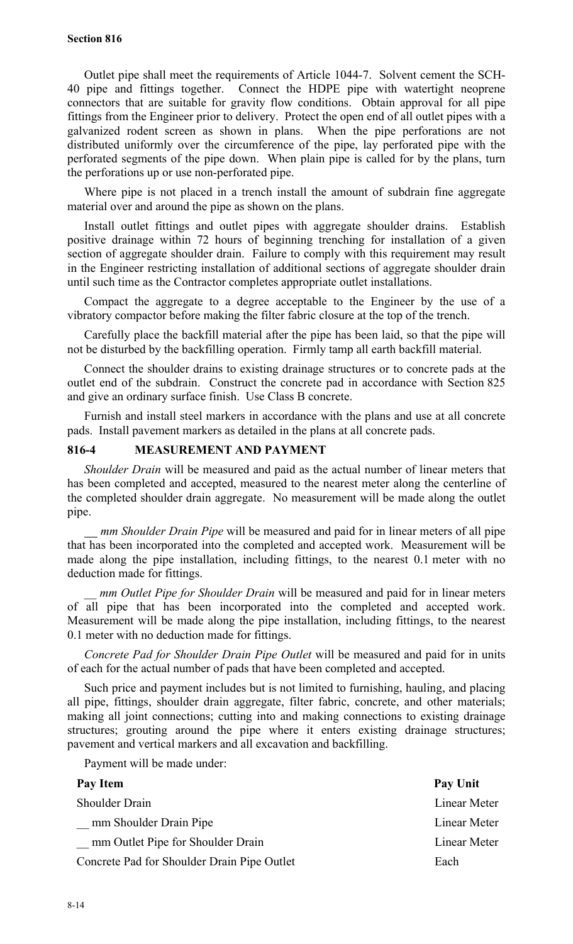Outlet pipe shall meet the requirements of Article 1044-7. Solvent cement the SCH-40 pipe and fittings together. Connect the HDPE pipe with watertight neoprene connectors that are suitable for gravity flow conditions. Obtain approval for all pipe fittings from the Engineer prior to delivery. Protect the open end of all outlet pipes with a galvanized rodent screen as shown in plans. When the pipe perforations are not distributed uniformly over the circumference of the pipe, lay perforated pipe with the perforated segments of the pipe down. When plain pipe is called for by the plans, turn the perforations up or use non-perforated pipe.

Where pipe is not placed in a trench install the amount of subdrain fine aggregate material over and around the pipe as shown on the plans.

Install outlet fittings and outlet pipes with aggregate shoulder drains. Establish positive drainage within 72 hours of beginning trenching for installation of a given section of aggregate shoulder drain. Failure to comply with this requirement may result in the Engineer restricting installation of additional sections of aggregate shoulder drain until such time as the Contractor completes appropriate outlet installations.

Compact the aggregate to a degree acceptable to the Engineer by the use of a vibratory compactor before making the filter fabric closure at the top of the trench.

Carefully place the backfill material after the pipe has been laid, so that the pipe will not be disturbed by the backfilling operation. Firmly tamp all earth backfill material.

Connect the shoulder drains to existing drainage structures or to concrete pads at the outlet end of the subdrain. Construct the concrete pad in accordance with Section 825 and give an ordinary surface finish. Use Class B concrete.

Furnish and install steel markers in accordance with the plans and use at all concrete pads. Install pavement markers as detailed in the plans at all concrete pads.

#### **816-4 MEASUREMENT AND PAYMENT**

*Shoulder Drain* will be measured and paid as the actual number of linear meters that has been completed and accepted, measured to the nearest meter along the centerline of the completed shoulder drain aggregate. No measurement will be made along the outlet pipe.

 *mm Shoulder Drain Pipe* will be measured and paid for in linear meters of all pipe that has been incorporated into the completed and accepted work. Measurement will be made along the pipe installation, including fittings, to the nearest 0.1 meter with no deduction made for fittings.

*mm Outlet Pipe for Shoulder Drain* will be measured and paid for in linear meters of all pipe that has been incorporated into the completed and accepted work. Measurement will be made along the pipe installation, including fittings, to the nearest 0.1 meter with no deduction made for fittings.

*Concrete Pad for Shoulder Drain Pipe Outlet* will be measured and paid for in units of each for the actual number of pads that have been completed and accepted.

Such price and payment includes but is not limited to furnishing, hauling, and placing all pipe, fittings, shoulder drain aggregate, filter fabric, concrete, and other materials; making all joint connections; cutting into and making connections to existing drainage structures; grouting around the pipe where it enters existing drainage structures; pavement and vertical markers and all excavation and backfilling.

Payment will be made under:

| Pay Item                                    | Pay Unit     |
|---------------------------------------------|--------------|
| <b>Shoulder Drain</b>                       | Linear Meter |
| mm Shoulder Drain Pipe                      | Linear Meter |
| mm Outlet Pipe for Shoulder Drain           | Linear Meter |
| Concrete Pad for Shoulder Drain Pipe Outlet | Each         |
|                                             |              |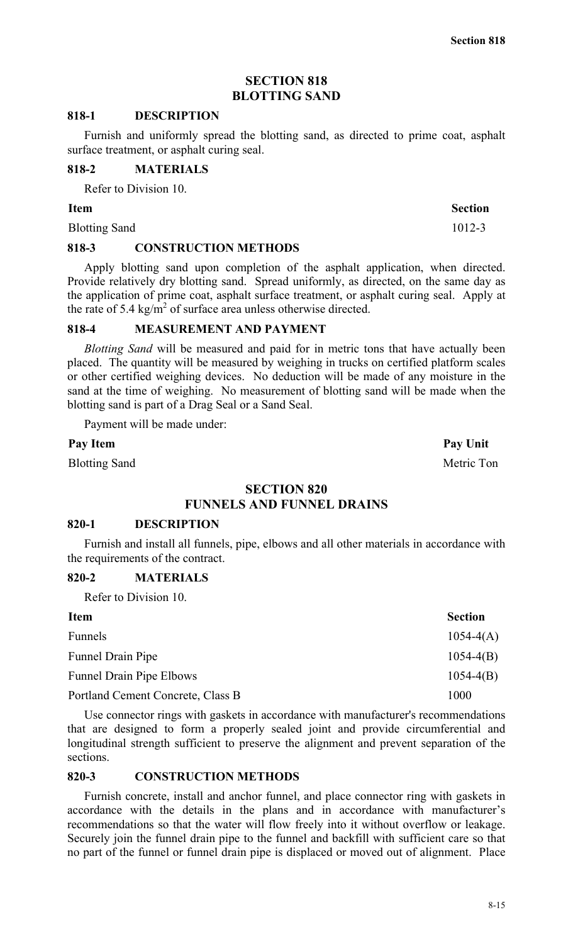**Section 818**

## **SECTION 818 BLOTTING SAND**

#### **818-1 DESCRIPTION**

Furnish and uniformly spread the blotting sand, as directed to prime coat, asphalt surface treatment, or asphalt curing seal.

#### **818-2 MATERIALS**

Refer to Division 10.

#### **Item Section**

Blotting Sand 1012-3

#### **818-3 CONSTRUCTION METHODS**

Apply blotting sand upon completion of the asphalt application, when directed. Provide relatively dry blotting sand. Spread uniformly, as directed, on the same day as the application of prime coat, asphalt surface treatment, or asphalt curing seal. Apply at the rate of 5.4 kg/m<sup>2</sup> of surface area unless otherwise directed.

## **818-4 MEASUREMENT AND PAYMENT**

*Blotting Sand* will be measured and paid for in metric tons that have actually been placed. The quantity will be measured by weighing in trucks on certified platform scales or other certified weighing devices. No deduction will be made of any moisture in the sand at the time of weighing. No measurement of blotting sand will be made when the blotting sand is part of a Drag Seal or a Sand Seal.

Payment will be made under:

#### Pay Item **Pay Unit**

Blotting Sand Metric Ton

## **SECTION 820**

## **FUNNELS AND FUNNEL DRAINS**

#### **820-1 DESCRIPTION**

Furnish and install all funnels, pipe, elbows and all other materials in accordance with the requirements of the contract.

#### **820-2 MATERIALS**

Refer to Division 10.

| <b>Item</b>                       | <b>Section</b> |
|-----------------------------------|----------------|
| <b>Funnels</b>                    | $1054 - 4(A)$  |
| <b>Funnel Drain Pipe</b>          | $1054 - 4(B)$  |
| <b>Funnel Drain Pipe Elbows</b>   | $1054 - 4(B)$  |
| Portland Cement Concrete, Class B | 1000           |

Use connector rings with gaskets in accordance with manufacturer's recommendations that are designed to form a properly sealed joint and provide circumferential and longitudinal strength sufficient to preserve the alignment and prevent separation of the sections.

## **820-3 CONSTRUCTION METHODS**

Furnish concrete, install and anchor funnel, and place connector ring with gaskets in accordance with the details in the plans and in accordance with manufacturer's recommendations so that the water will flow freely into it without overflow or leakage. Securely join the funnel drain pipe to the funnel and backfill with sufficient care so that no part of the funnel or funnel drain pipe is displaced or moved out of alignment. Place

8-15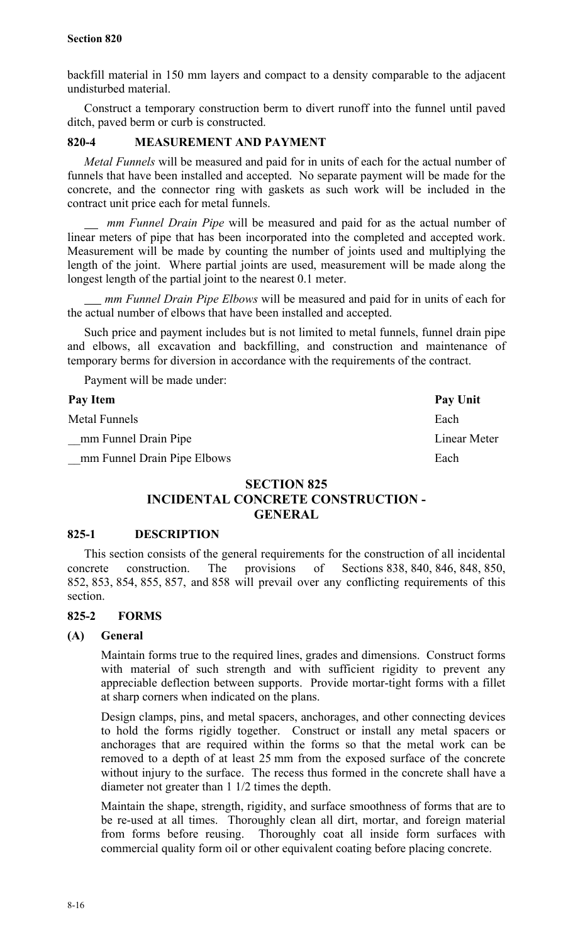backfill material in 150 mm layers and compact to a density comparable to the adjacent undisturbed material.

Construct a temporary construction berm to divert runoff into the funnel until paved ditch, paved berm or curb is constructed.

## **820-4 MEASUREMENT AND PAYMENT**

*Metal Funnels* will be measured and paid for in units of each for the actual number of funnels that have been installed and accepted. No separate payment will be made for the concrete, and the connector ring with gaskets as such work will be included in the contract unit price each for metal funnels.

 *mm Funnel Drain Pipe* will be measured and paid for as the actual number of linear meters of pipe that has been incorporated into the completed and accepted work. Measurement will be made by counting the number of joints used and multiplying the length of the joint. Where partial joints are used, measurement will be made along the longest length of the partial joint to the nearest 0.1 meter.

 *mm Funnel Drain Pipe Elbows* will be measured and paid for in units of each for the actual number of elbows that have been installed and accepted.

Such price and payment includes but is not limited to metal funnels, funnel drain pipe and elbows, all excavation and backfilling, and construction and maintenance of temporary berms for diversion in accordance with the requirements of the contract.

Payment will be made under:

| Pay Item                    | Pay Unit     |
|-----------------------------|--------------|
| Metal Funnels               | Each         |
| mm Funnel Drain Pipe        | Linear Meter |
| mm Funnel Drain Pipe Elbows | Each         |

## **SECTION 825 INCIDENTAL CONCRETE CONSTRUCTION - GENERAL**

## **825-1 DESCRIPTION**

This section consists of the general requirements for the construction of all incidental concrete construction. The provisions of Sections 838, 840, 846, 848, 850, 852, 853, 854, 855, 857, and 858 will prevail over any conflicting requirements of this section.

## **825-2 FORMS**

## **(A) General**

Maintain forms true to the required lines, grades and dimensions. Construct forms with material of such strength and with sufficient rigidity to prevent any appreciable deflection between supports. Provide mortar-tight forms with a fillet at sharp corners when indicated on the plans.

Design clamps, pins, and metal spacers, anchorages, and other connecting devices to hold the forms rigidly together. Construct or install any metal spacers or anchorages that are required within the forms so that the metal work can be removed to a depth of at least 25 mm from the exposed surface of the concrete without injury to the surface. The recess thus formed in the concrete shall have a diameter not greater than 1 1/2 times the depth.

Maintain the shape, strength, rigidity, and surface smoothness of forms that are to be re-used at all times. Thoroughly clean all dirt, mortar, and foreign material from forms before reusing. Thoroughly coat all inside form surfaces with commercial quality form oil or other equivalent coating before placing concrete.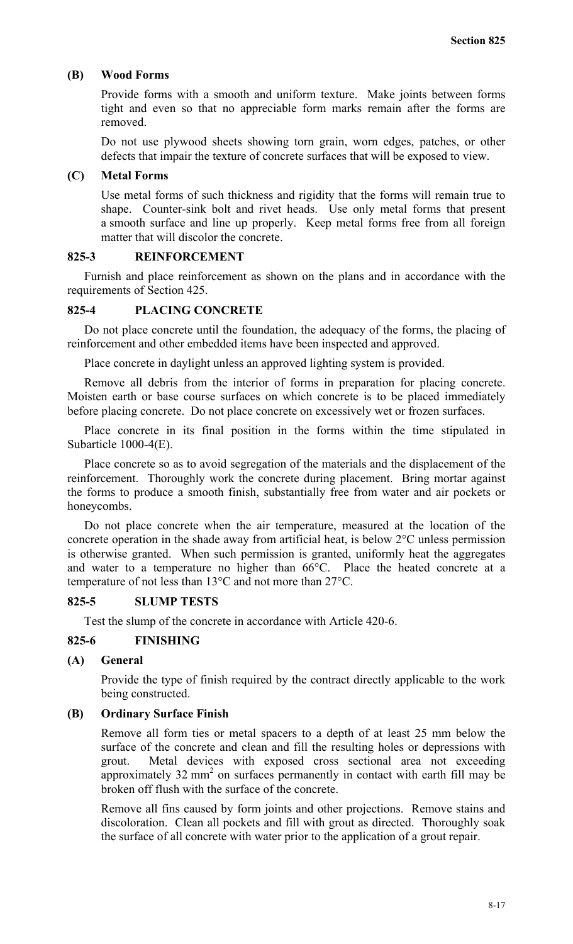#### **(B) Wood Forms**

Provide forms with a smooth and uniform texture. Make joints between forms tight and even so that no appreciable form marks remain after the forms are removed.

Do not use plywood sheets showing torn grain, worn edges, patches, or other defects that impair the texture of concrete surfaces that will be exposed to view.

#### **(C) Metal Forms**

Use metal forms of such thickness and rigidity that the forms will remain true to shape. Counter-sink bolt and rivet heads. Use only metal forms that present a smooth surface and line up properly. Keep metal forms free from all foreign matter that will discolor the concrete.

#### **825-3 REINFORCEMENT**

Furnish and place reinforcement as shown on the plans and in accordance with the requirements of Section 425.

#### **825-4 PLACING CONCRETE**

Do not place concrete until the foundation, the adequacy of the forms, the placing of reinforcement and other embedded items have been inspected and approved.

Place concrete in daylight unless an approved lighting system is provided.

Remove all debris from the interior of forms in preparation for placing concrete. Moisten earth or base course surfaces on which concrete is to be placed immediately before placing concrete. Do not place concrete on excessively wet or frozen surfaces.

Place concrete in its final position in the forms within the time stipulated in Subarticle 1000-4(E).

Place concrete so as to avoid segregation of the materials and the displacement of the reinforcement. Thoroughly work the concrete during placement. Bring mortar against the forms to produce a smooth finish, substantially free from water and air pockets or honeycombs.

Do not place concrete when the air temperature, measured at the location of the concrete operation in the shade away from artificial heat, is below 2°C unless permission is otherwise granted. When such permission is granted, uniformly heat the aggregates and water to a temperature no higher than 66°C. Place the heated concrete at a temperature of not less than 13°C and not more than 27°C.

#### **825-5 SLUMP TESTS**

Test the slump of the concrete in accordance with Article 420-6.

#### **825-6 FINISHING**

#### **(A) General**

Provide the type of finish required by the contract directly applicable to the work being constructed.

#### **(B) Ordinary Surface Finish**

Remove all form ties or metal spacers to a depth of at least 25 mm below the surface of the concrete and clean and fill the resulting holes or depressions with grout. Metal devices with exposed cross sectional area not exceeding approximately  $32 \text{ mm}^2$  on surfaces permanently in contact with earth fill may be broken off flush with the surface of the concrete.

Remove all fins caused by form joints and other projections. Remove stains and discoloration. Clean all pockets and fill with grout as directed. Thoroughly soak the surface of all concrete with water prior to the application of a grout repair.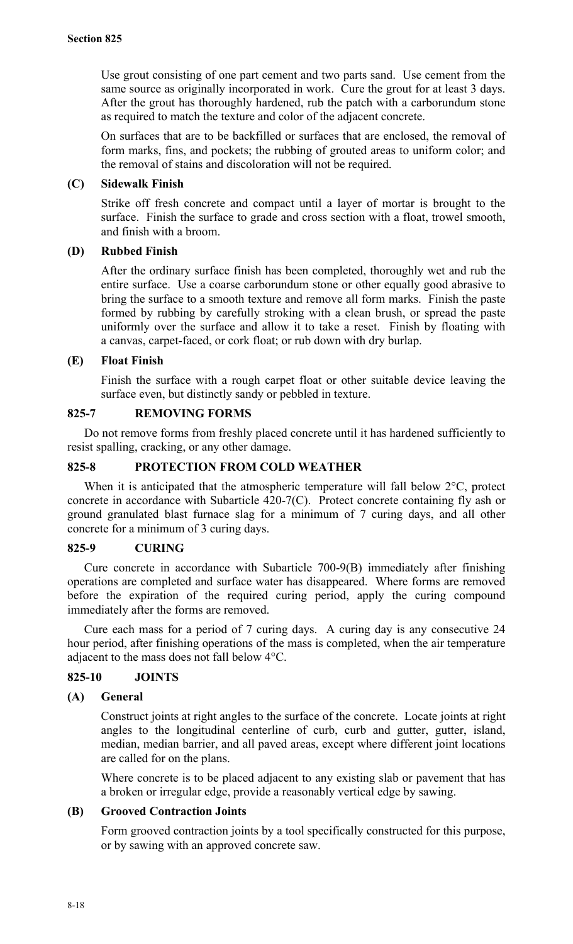Use grout consisting of one part cement and two parts sand. Use cement from the same source as originally incorporated in work. Cure the grout for at least 3 days. After the grout has thoroughly hardened, rub the patch with a carborundum stone as required to match the texture and color of the adjacent concrete.

On surfaces that are to be backfilled or surfaces that are enclosed, the removal of form marks, fins, and pockets; the rubbing of grouted areas to uniform color; and the removal of stains and discoloration will not be required.

## **(C) Sidewalk Finish**

Strike off fresh concrete and compact until a layer of mortar is brought to the surface. Finish the surface to grade and cross section with a float, trowel smooth, and finish with a broom.

## **(D) Rubbed Finish**

After the ordinary surface finish has been completed, thoroughly wet and rub the entire surface. Use a coarse carborundum stone or other equally good abrasive to bring the surface to a smooth texture and remove all form marks. Finish the paste formed by rubbing by carefully stroking with a clean brush, or spread the paste uniformly over the surface and allow it to take a reset. Finish by floating with a canvas, carpet-faced, or cork float; or rub down with dry burlap.

## **(E) Float Finish**

Finish the surface with a rough carpet float or other suitable device leaving the surface even, but distinctly sandy or pebbled in texture.

## **825-7 REMOVING FORMS**

Do not remove forms from freshly placed concrete until it has hardened sufficiently to resist spalling, cracking, or any other damage.

## **825-8 PROTECTION FROM COLD WEATHER**

When it is anticipated that the atmospheric temperature will fall below  $2^{\circ}C$ , protect concrete in accordance with Subarticle 420-7(C). Protect concrete containing fly ash or ground granulated blast furnace slag for a minimum of 7 curing days, and all other concrete for a minimum of 3 curing days.

## **825-9 CURING**

Cure concrete in accordance with Subarticle 700-9(B) immediately after finishing operations are completed and surface water has disappeared. Where forms are removed before the expiration of the required curing period, apply the curing compound immediately after the forms are removed.

Cure each mass for a period of 7 curing days. A curing day is any consecutive 24 hour period, after finishing operations of the mass is completed, when the air temperature adjacent to the mass does not fall below 4°C.

## **825-10 JOINTS**

## **(A) General**

Construct joints at right angles to the surface of the concrete. Locate joints at right angles to the longitudinal centerline of curb, curb and gutter, gutter, island, median, median barrier, and all paved areas, except where different joint locations are called for on the plans.

Where concrete is to be placed adjacent to any existing slab or pavement that has a broken or irregular edge, provide a reasonably vertical edge by sawing.

## **(B) Grooved Contraction Joints**

Form grooved contraction joints by a tool specifically constructed for this purpose, or by sawing with an approved concrete saw.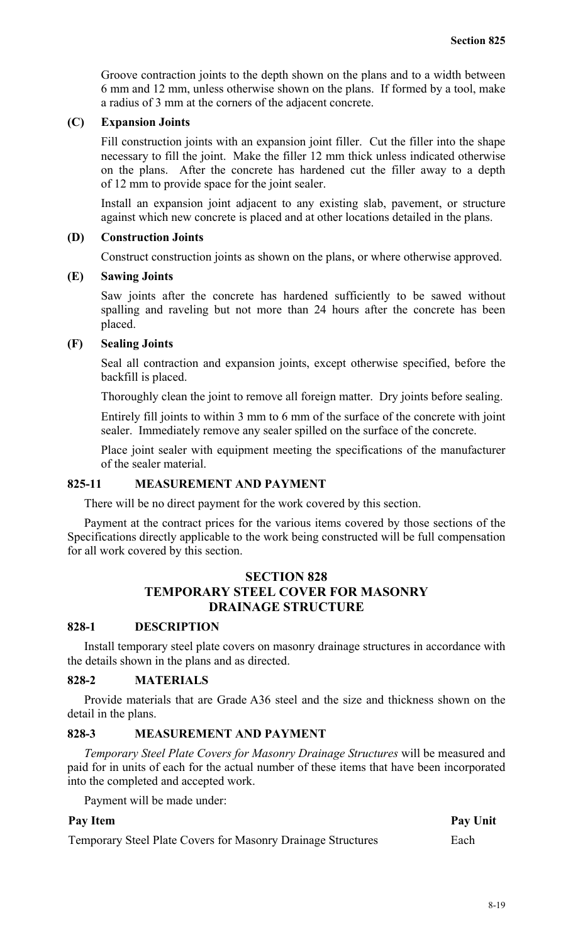Groove contraction joints to the depth shown on the plans and to a width between 6 mm and 12 mm, unless otherwise shown on the plans. If formed by a tool, make a radius of 3 mm at the corners of the adjacent concrete.

#### **(C) Expansion Joints**

Fill construction joints with an expansion joint filler. Cut the filler into the shape necessary to fill the joint. Make the filler 12 mm thick unless indicated otherwise on the plans. After the concrete has hardened cut the filler away to a depth of 12 mm to provide space for the joint sealer.

Install an expansion joint adjacent to any existing slab, pavement, or structure against which new concrete is placed and at other locations detailed in the plans.

#### **(D) Construction Joints**

Construct construction joints as shown on the plans, or where otherwise approved.

#### **(E) Sawing Joints**

Saw joints after the concrete has hardened sufficiently to be sawed without spalling and raveling but not more than 24 hours after the concrete has been placed.

#### **(F) Sealing Joints**

Seal all contraction and expansion joints, except otherwise specified, before the backfill is placed.

Thoroughly clean the joint to remove all foreign matter. Dry joints before sealing.

Entirely fill joints to within 3 mm to 6 mm of the surface of the concrete with joint sealer. Immediately remove any sealer spilled on the surface of the concrete.

Place joint sealer with equipment meeting the specifications of the manufacturer of the sealer material.

#### **825-11 MEASUREMENT AND PAYMENT**

There will be no direct payment for the work covered by this section.

Payment at the contract prices for the various items covered by those sections of the Specifications directly applicable to the work being constructed will be full compensation for all work covered by this section.

## **SECTION 828 TEMPORARY STEEL COVER FOR MASONRY DRAINAGE STRUCTURE**

#### **828-1 DESCRIPTION**

Install temporary steel plate covers on masonry drainage structures in accordance with the details shown in the plans and as directed.

#### **828-2 MATERIALS**

Provide materials that are Grade A36 steel and the size and thickness shown on the detail in the plans.

#### **828-3 MEASUREMENT AND PAYMENT**

*Temporary Steel Plate Covers for Masonry Drainage Structures* will be measured and paid for in units of each for the actual number of these items that have been incorporated into the completed and accepted work.

Payment will be made under:

#### Pay Item Pay Unit

Temporary Steel Plate Covers for Masonry Drainage Structures Each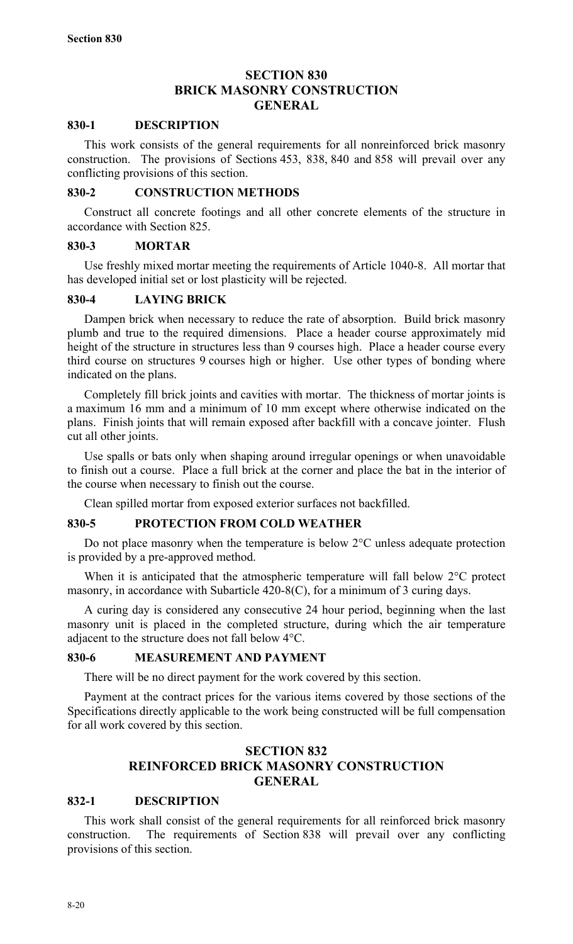## **SECTION 830 BRICK MASONRY CONSTRUCTION GENERAL**

#### **830-1 DESCRIPTION**

This work consists of the general requirements for all nonreinforced brick masonry construction. The provisions of Sections 453, 838, 840 and 858 will prevail over any conflicting provisions of this section.

#### **830-2 CONSTRUCTION METHODS**

Construct all concrete footings and all other concrete elements of the structure in accordance with Section 825.

#### **830-3 MORTAR**

Use freshly mixed mortar meeting the requirements of Article 1040-8. All mortar that has developed initial set or lost plasticity will be rejected.

#### **830-4 LAYING BRICK**

Dampen brick when necessary to reduce the rate of absorption. Build brick masonry plumb and true to the required dimensions. Place a header course approximately mid height of the structure in structures less than 9 courses high. Place a header course every third course on structures 9 courses high or higher. Use other types of bonding where indicated on the plans.

Completely fill brick joints and cavities with mortar. The thickness of mortar joints is a maximum 16 mm and a minimum of 10 mm except where otherwise indicated on the plans. Finish joints that will remain exposed after backfill with a concave jointer. Flush cut all other joints.

Use spalls or bats only when shaping around irregular openings or when unavoidable to finish out a course. Place a full brick at the corner and place the bat in the interior of the course when necessary to finish out the course.

Clean spilled mortar from exposed exterior surfaces not backfilled.

## **830-5 PROTECTION FROM COLD WEATHER**

Do not place masonry when the temperature is below 2°C unless adequate protection is provided by a pre-approved method.

When it is anticipated that the atmospheric temperature will fall below  $2^{\circ}$ C protect masonry, in accordance with Subarticle 420-8(C), for a minimum of 3 curing days.

A curing day is considered any consecutive 24 hour period, beginning when the last masonry unit is placed in the completed structure, during which the air temperature adjacent to the structure does not fall below 4°C.

#### **830-6 MEASUREMENT AND PAYMENT**

There will be no direct payment for the work covered by this section.

Payment at the contract prices for the various items covered by those sections of the Specifications directly applicable to the work being constructed will be full compensation for all work covered by this section.

## **SECTION 832 REINFORCED BRICK MASONRY CONSTRUCTION GENERAL**

#### **832-1 DESCRIPTION**

This work shall consist of the general requirements for all reinforced brick masonry construction. The requirements of Section 838 will prevail over any conflicting provisions of this section.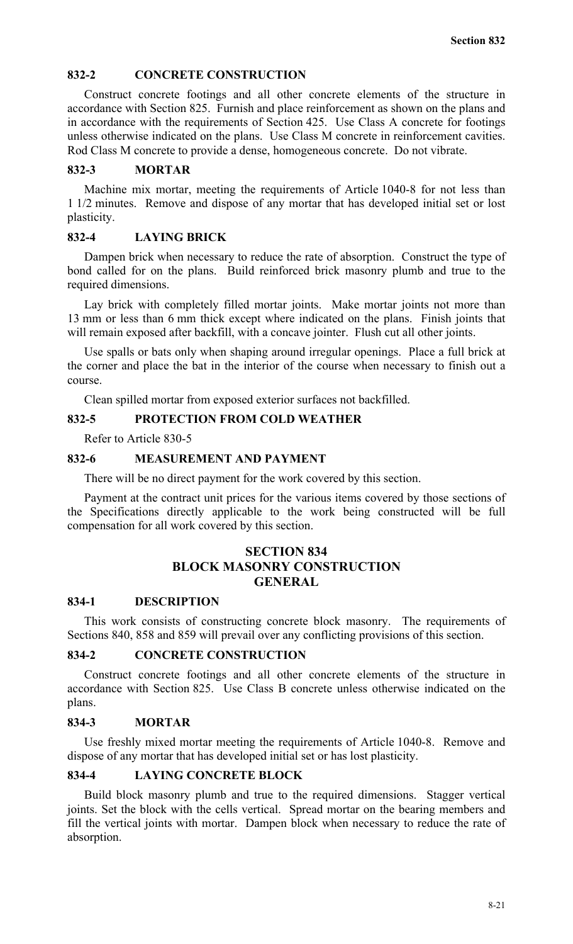#### **832-2 CONCRETE CONSTRUCTION**

Construct concrete footings and all other concrete elements of the structure in accordance with Section 825. Furnish and place reinforcement as shown on the plans and in accordance with the requirements of Section 425. Use Class A concrete for footings unless otherwise indicated on the plans. Use Class M concrete in reinforcement cavities. Rod Class M concrete to provide a dense, homogeneous concrete. Do not vibrate.

#### **832-3 MORTAR**

Machine mix mortar, meeting the requirements of Article 1040-8 for not less than 1 1/2 minutes. Remove and dispose of any mortar that has developed initial set or lost plasticity.

#### **832-4 LAYING BRICK**

Dampen brick when necessary to reduce the rate of absorption. Construct the type of bond called for on the plans. Build reinforced brick masonry plumb and true to the required dimensions.

Lay brick with completely filled mortar joints. Make mortar joints not more than 13 mm or less than 6 mm thick except where indicated on the plans. Finish joints that will remain exposed after backfill, with a concave jointer. Flush cut all other joints.

Use spalls or bats only when shaping around irregular openings. Place a full brick at the corner and place the bat in the interior of the course when necessary to finish out a course.

Clean spilled mortar from exposed exterior surfaces not backfilled.

#### **832-5 PROTECTION FROM COLD WEATHER**

Refer to Article 830-5

#### **832-6 MEASUREMENT AND PAYMENT**

There will be no direct payment for the work covered by this section.

Payment at the contract unit prices for the various items covered by those sections of the Specifications directly applicable to the work being constructed will be full compensation for all work covered by this section.

## **SECTION 834 BLOCK MASONRY CONSTRUCTION GENERAL**

#### **834-1 DESCRIPTION**

This work consists of constructing concrete block masonry. The requirements of Sections 840, 858 and 859 will prevail over any conflicting provisions of this section.

#### **834-2 CONCRETE CONSTRUCTION**

Construct concrete footings and all other concrete elements of the structure in accordance with Section 825. Use Class B concrete unless otherwise indicated on the plans.

#### **834-3 MORTAR**

Use freshly mixed mortar meeting the requirements of Article 1040-8. Remove and dispose of any mortar that has developed initial set or has lost plasticity.

#### **834-4 LAYING CONCRETE BLOCK**

Build block masonry plumb and true to the required dimensions. Stagger vertical joints. Set the block with the cells vertical. Spread mortar on the bearing members and fill the vertical joints with mortar. Dampen block when necessary to reduce the rate of absorption.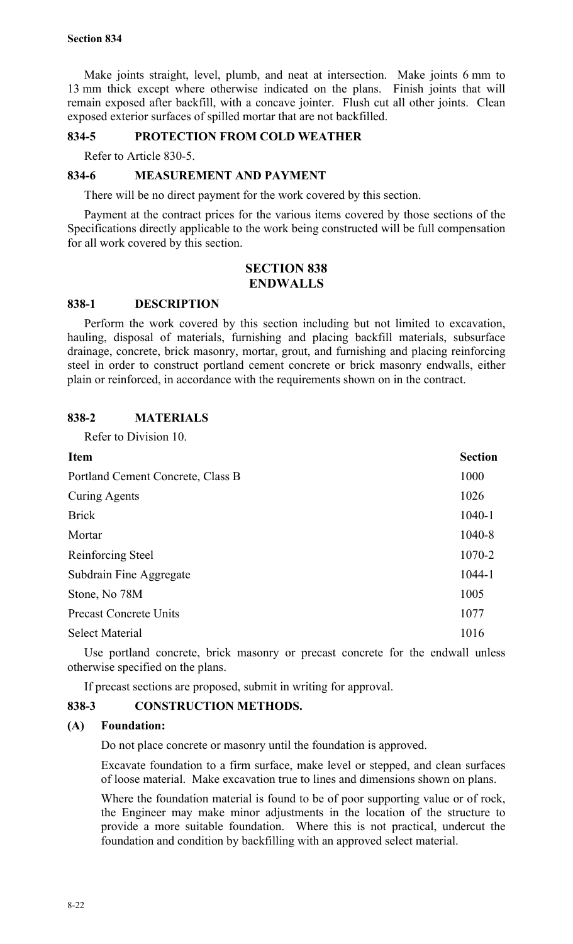Make joints straight, level, plumb, and neat at intersection. Make joints 6 mm to 13 mm thick except where otherwise indicated on the plans. Finish joints that will remain exposed after backfill, with a concave jointer. Flush cut all other joints. Clean exposed exterior surfaces of spilled mortar that are not backfilled.

## **834-5 PROTECTION FROM COLD WEATHER**

Refer to Article 830-5.

## **834-6 MEASUREMENT AND PAYMENT**

There will be no direct payment for the work covered by this section.

Payment at the contract prices for the various items covered by those sections of the Specifications directly applicable to the work being constructed will be full compensation for all work covered by this section.

#### **SECTION 838 ENDWALLS**

## **838-1 DESCRIPTION**

Perform the work covered by this section including but not limited to excavation, hauling, disposal of materials, furnishing and placing backfill materials, subsurface drainage, concrete, brick masonry, mortar, grout, and furnishing and placing reinforcing steel in order to construct portland cement concrete or brick masonry endwalls, either plain or reinforced, in accordance with the requirements shown on in the contract.

## **838-2 MATERIALS**

Refer to Division 10.

| <b>Item</b>                       | <b>Section</b> |
|-----------------------------------|----------------|
| Portland Cement Concrete, Class B | 1000           |
| <b>Curing Agents</b>              | 1026           |
| <b>Brick</b>                      | 1040-1         |
| Mortar                            | 1040-8         |
| Reinforcing Steel                 | 1070-2         |
| Subdrain Fine Aggregate           | 1044-1         |
| Stone, No 78M                     | 1005           |
| <b>Precast Concrete Units</b>     | 1077           |
| <b>Select Material</b>            | 1016           |

Use portland concrete, brick masonry or precast concrete for the endwall unless otherwise specified on the plans.

If precast sections are proposed, submit in writing for approval.

## **838-3 CONSTRUCTION METHODS.**

## **(A) Foundation:**

Do not place concrete or masonry until the foundation is approved.

Excavate foundation to a firm surface, make level or stepped, and clean surfaces of loose material. Make excavation true to lines and dimensions shown on plans.

Where the foundation material is found to be of poor supporting value or of rock, the Engineer may make minor adjustments in the location of the structure to provide a more suitable foundation. Where this is not practical, undercut the foundation and condition by backfilling with an approved select material.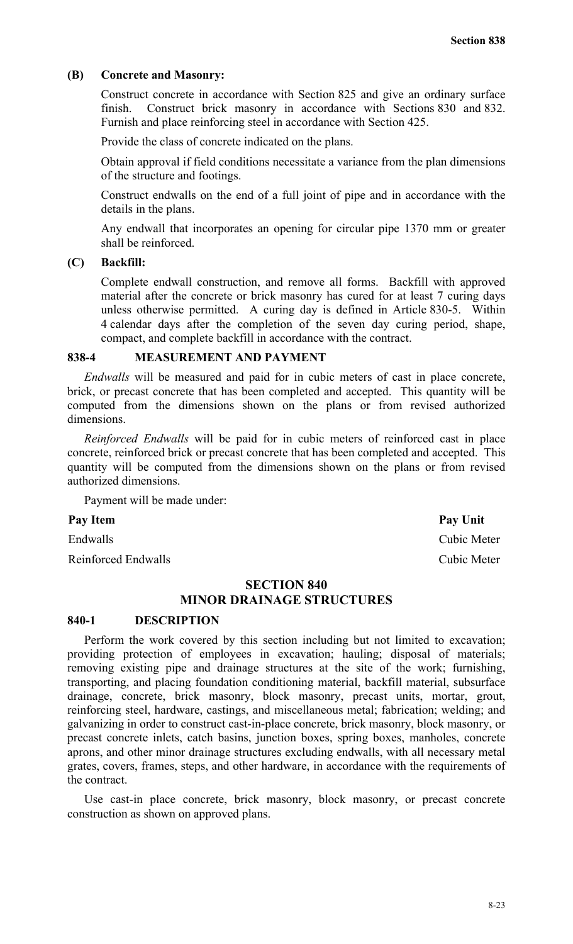#### **(B) Concrete and Masonry:**

Construct concrete in accordance with Section 825 and give an ordinary surface finish. Construct brick masonry in accordance with Sections 830 and 832. Furnish and place reinforcing steel in accordance with Section 425.

Provide the class of concrete indicated on the plans.

Obtain approval if field conditions necessitate a variance from the plan dimensions of the structure and footings.

Construct endwalls on the end of a full joint of pipe and in accordance with the details in the plans.

Any endwall that incorporates an opening for circular pipe 1370 mm or greater shall be reinforced.

#### **(C) Backfill:**

Complete endwall construction, and remove all forms. Backfill with approved material after the concrete or brick masonry has cured for at least 7 curing days unless otherwise permitted. A curing day is defined in Article 830-5. Within 4 calendar days after the completion of the seven day curing period, shape, compact, and complete backfill in accordance with the contract.

## **838-4 MEASUREMENT AND PAYMENT**

*Endwalls* will be measured and paid for in cubic meters of cast in place concrete, brick, or precast concrete that has been completed and accepted. This quantity will be computed from the dimensions shown on the plans or from revised authorized dimensions.

*Reinforced Endwalls* will be paid for in cubic meters of reinforced cast in place concrete, reinforced brick or precast concrete that has been completed and accepted. This quantity will be computed from the dimensions shown on the plans or from revised authorized dimensions.

Payment will be made under:

#### Pay Item Pay Unit

Reinforced Endwalls Cubic Meter

#### **SECTION 840**

## **MINOR DRAINAGE STRUCTURES**

#### **840-1 DESCRIPTION**

Perform the work covered by this section including but not limited to excavation; providing protection of employees in excavation; hauling; disposal of materials; removing existing pipe and drainage structures at the site of the work; furnishing, transporting, and placing foundation conditioning material, backfill material, subsurface drainage, concrete, brick masonry, block masonry, precast units, mortar, grout, reinforcing steel, hardware, castings, and miscellaneous metal; fabrication; welding; and galvanizing in order to construct cast-in-place concrete, brick masonry, block masonry, or precast concrete inlets, catch basins, junction boxes, spring boxes, manholes, concrete aprons, and other minor drainage structures excluding endwalls, with all necessary metal grates, covers, frames, steps, and other hardware, in accordance with the requirements of the contract.

Use cast-in place concrete, brick masonry, block masonry, or precast concrete construction as shown on approved plans.

Endwalls Cubic Meter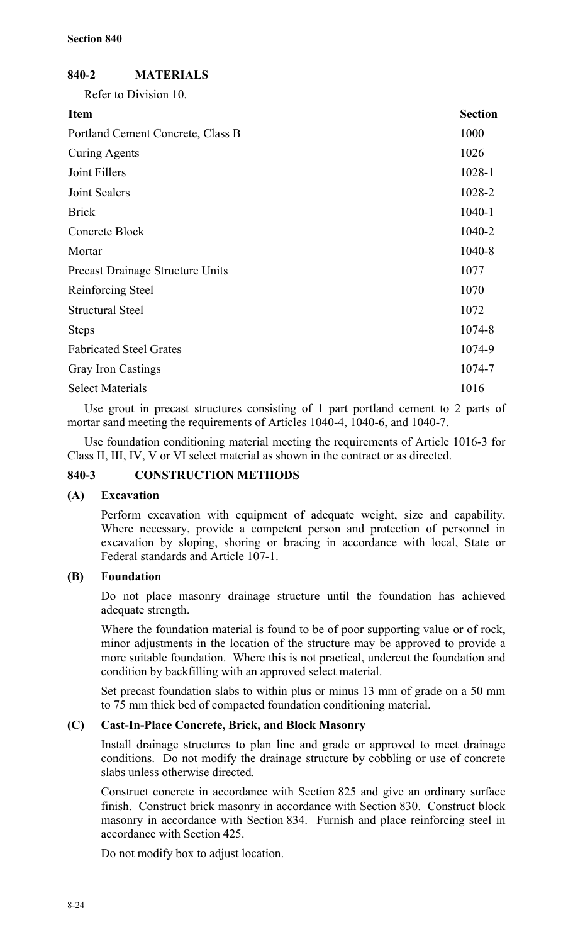## **840-2 MATERIALS**

Refer to Division 10.

| <b>Item</b>                             | <b>Section</b> |
|-----------------------------------------|----------------|
| Portland Cement Concrete, Class B       | 1000           |
| Curing Agents                           | 1026           |
| Joint Fillers                           | 1028-1         |
| Joint Sealers                           | 1028-2         |
| <b>Brick</b>                            | $1040 - 1$     |
| Concrete Block                          | 1040-2         |
| Mortar                                  | 1040-8         |
| <b>Precast Drainage Structure Units</b> | 1077           |
| Reinforcing Steel                       | 1070           |
| <b>Structural Steel</b>                 | 1072           |
| <b>Steps</b>                            | 1074-8         |
| <b>Fabricated Steel Grates</b>          | 1074-9         |
| <b>Gray Iron Castings</b>               | 1074-7         |
| <b>Select Materials</b>                 | 1016           |
|                                         |                |

Use grout in precast structures consisting of 1 part portland cement to 2 parts of mortar sand meeting the requirements of Articles 1040-4, 1040-6, and 1040-7.

Use foundation conditioning material meeting the requirements of Article 1016-3 for Class II, III, IV, V or VI select material as shown in the contract or as directed.

## **840-3 CONSTRUCTION METHODS**

## **(A) Excavation**

Perform excavation with equipment of adequate weight, size and capability. Where necessary, provide a competent person and protection of personnel in excavation by sloping, shoring or bracing in accordance with local, State or Federal standards and Article 107-1.

## **(B) Foundation**

Do not place masonry drainage structure until the foundation has achieved adequate strength.

Where the foundation material is found to be of poor supporting value or of rock, minor adjustments in the location of the structure may be approved to provide a more suitable foundation. Where this is not practical, undercut the foundation and condition by backfilling with an approved select material.

Set precast foundation slabs to within plus or minus 13 mm of grade on a 50 mm to 75 mm thick bed of compacted foundation conditioning material.

## **(C) Cast-In-Place Concrete, Brick, and Block Masonry**

Install drainage structures to plan line and grade or approved to meet drainage conditions. Do not modify the drainage structure by cobbling or use of concrete slabs unless otherwise directed.

Construct concrete in accordance with Section 825 and give an ordinary surface finish. Construct brick masonry in accordance with Section 830. Construct block masonry in accordance with Section 834. Furnish and place reinforcing steel in accordance with Section 425.

Do not modify box to adjust location.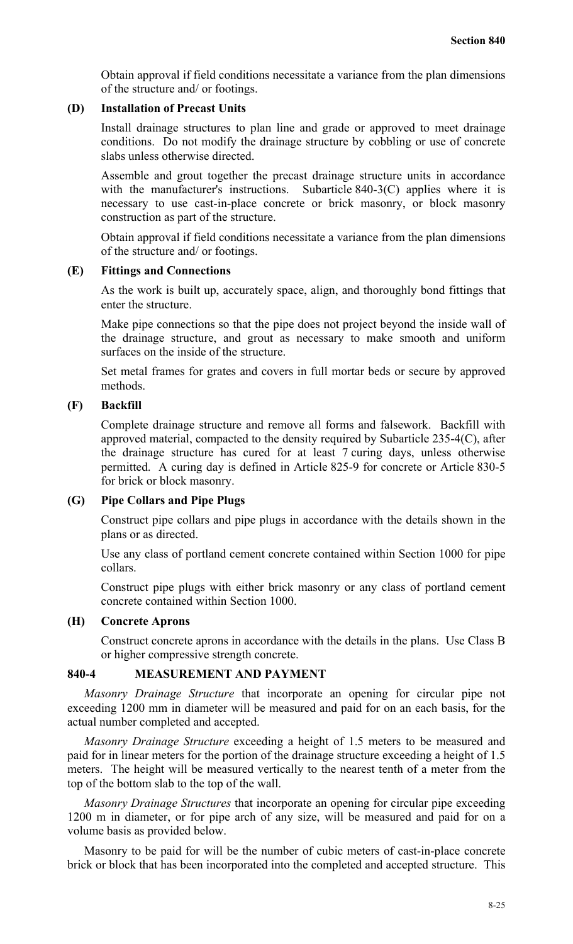Obtain approval if field conditions necessitate a variance from the plan dimensions of the structure and/ or footings.

#### **(D) Installation of Precast Units**

Install drainage structures to plan line and grade or approved to meet drainage conditions. Do not modify the drainage structure by cobbling or use of concrete slabs unless otherwise directed.

Assemble and grout together the precast drainage structure units in accordance with the manufacturer's instructions. Subarticle 840-3(C) applies where it is necessary to use cast-in-place concrete or brick masonry, or block masonry construction as part of the structure.

Obtain approval if field conditions necessitate a variance from the plan dimensions of the structure and/ or footings.

#### **(E) Fittings and Connections**

As the work is built up, accurately space, align, and thoroughly bond fittings that enter the structure.

Make pipe connections so that the pipe does not project beyond the inside wall of the drainage structure, and grout as necessary to make smooth and uniform surfaces on the inside of the structure.

Set metal frames for grates and covers in full mortar beds or secure by approved methods.

## **(F) Backfill**

Complete drainage structure and remove all forms and falsework. Backfill with approved material, compacted to the density required by Subarticle 235-4(C), after the drainage structure has cured for at least 7 curing days, unless otherwise permitted. A curing day is defined in Article 825-9 for concrete or Article 830-5 for brick or block masonry.

## **(G) Pipe Collars and Pipe Plugs**

Construct pipe collars and pipe plugs in accordance with the details shown in the plans or as directed.

Use any class of portland cement concrete contained within Section 1000 for pipe collars.

Construct pipe plugs with either brick masonry or any class of portland cement concrete contained within Section 1000.

## **(H) Concrete Aprons**

Construct concrete aprons in accordance with the details in the plans. Use Class B or higher compressive strength concrete.

## **840-4 MEASUREMENT AND PAYMENT**

*Masonry Drainage Structure* that incorporate an opening for circular pipe not exceeding 1200 mm in diameter will be measured and paid for on an each basis, for the actual number completed and accepted.

*Masonry Drainage Structure* exceeding a height of 1.5 meters to be measured and paid for in linear meters for the portion of the drainage structure exceeding a height of 1.5 meters. The height will be measured vertically to the nearest tenth of a meter from the top of the bottom slab to the top of the wall.

*Masonry Drainage Structures* that incorporate an opening for circular pipe exceeding 1200 m in diameter, or for pipe arch of any size, will be measured and paid for on a volume basis as provided below.

Masonry to be paid for will be the number of cubic meters of cast-in-place concrete brick or block that has been incorporated into the completed and accepted structure. This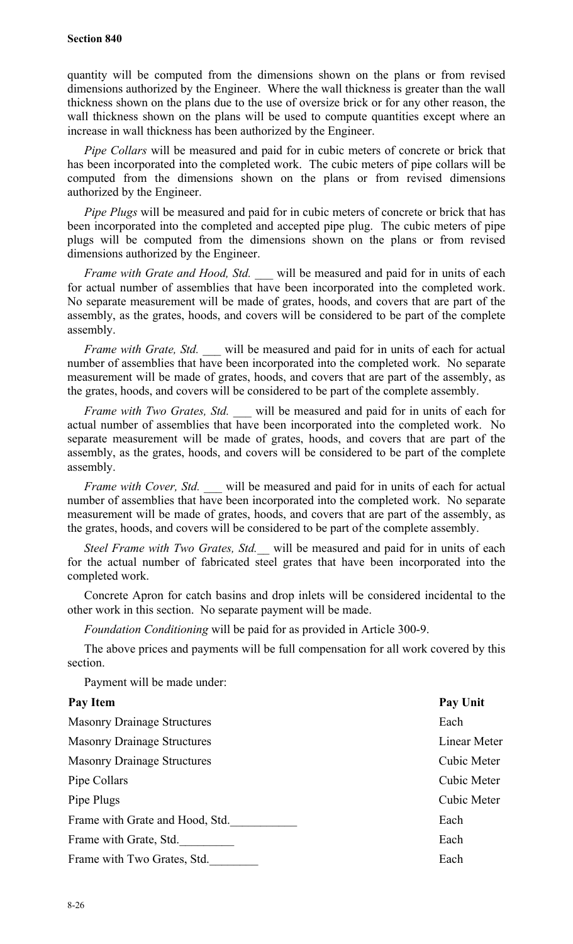quantity will be computed from the dimensions shown on the plans or from revised dimensions authorized by the Engineer. Where the wall thickness is greater than the wall thickness shown on the plans due to the use of oversize brick or for any other reason, the wall thickness shown on the plans will be used to compute quantities except where an increase in wall thickness has been authorized by the Engineer.

*Pipe Collars* will be measured and paid for in cubic meters of concrete or brick that has been incorporated into the completed work. The cubic meters of pipe collars will be computed from the dimensions shown on the plans or from revised dimensions authorized by the Engineer.

*Pipe Plugs* will be measured and paid for in cubic meters of concrete or brick that has been incorporated into the completed and accepted pipe plug. The cubic meters of pipe plugs will be computed from the dimensions shown on the plans or from revised dimensions authorized by the Engineer.

*Frame with Grate and Hood, Std. \_\_\_* will be measured and paid for in units of each for actual number of assemblies that have been incorporated into the completed work. No separate measurement will be made of grates, hoods, and covers that are part of the assembly, as the grates, hoods, and covers will be considered to be part of the complete assembly.

*Frame with Grate, Std.* will be measured and paid for in units of each for actual number of assemblies that have been incorporated into the completed work. No separate measurement will be made of grates, hoods, and covers that are part of the assembly, as the grates, hoods, and covers will be considered to be part of the complete assembly.

*Frame with Two Grates, Std.* will be measured and paid for in units of each for actual number of assemblies that have been incorporated into the completed work. No separate measurement will be made of grates, hoods, and covers that are part of the assembly, as the grates, hoods, and covers will be considered to be part of the complete assembly.

*Frame with Cover, Std.* will be measured and paid for in units of each for actual number of assemblies that have been incorporated into the completed work. No separate measurement will be made of grates, hoods, and covers that are part of the assembly, as the grates, hoods, and covers will be considered to be part of the complete assembly.

*Steel Frame with Two Grates, Std.\_\_* will be measured and paid for in units of each for the actual number of fabricated steel grates that have been incorporated into the completed work.

Concrete Apron for catch basins and drop inlets will be considered incidental to the other work in this section. No separate payment will be made.

*Foundation Conditioning* will be paid for as provided in Article 300-9.

The above prices and payments will be full compensation for all work covered by this section.

Payment will be made under:

| <b>Pay Item</b>                    | <b>Pay Unit</b> |
|------------------------------------|-----------------|
| <b>Masonry Drainage Structures</b> | Each            |
| <b>Masonry Drainage Structures</b> | Linear Meter    |
| <b>Masonry Drainage Structures</b> | Cubic Meter     |
| Pipe Collars                       | Cubic Meter     |
| Pipe Plugs                         | Cubic Meter     |
| Frame with Grate and Hood, Std.    | Each            |
| Frame with Grate, Std.             | Each            |
| Frame with Two Grates, Std.        | Each            |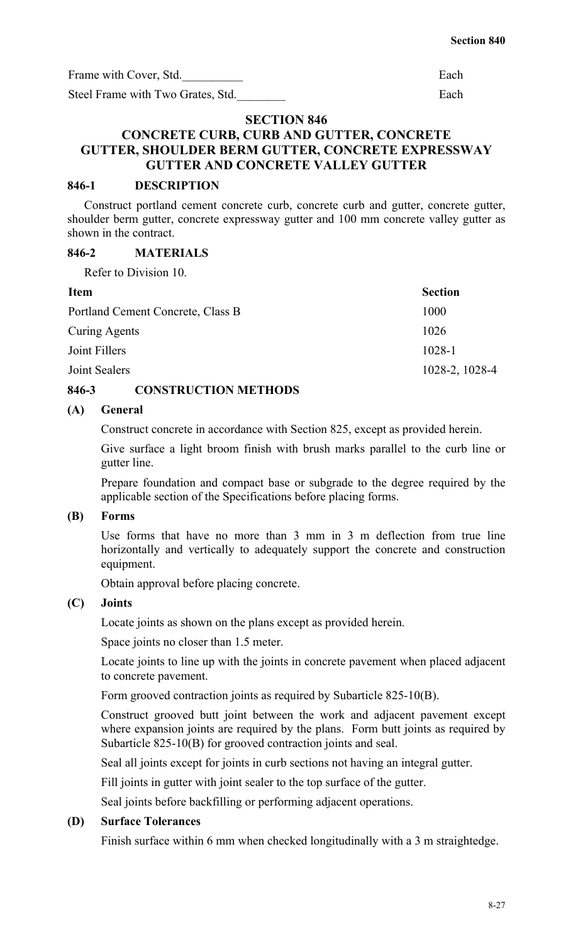Frame with Cover, Std. Each

Steel Frame with Two Grates, Std. Each

#### **SECTION 846**

## **CONCRETE CURB, CURB AND GUTTER, CONCRETE GUTTER, SHOULDER BERM GUTTER, CONCRETE EXPRESSWAY GUTTER AND CONCRETE VALLEY GUTTER**

#### **846-1 DESCRIPTION**

Construct portland cement concrete curb, concrete curb and gutter, concrete gutter, shoulder berm gutter, concrete expressway gutter and 100 mm concrete valley gutter as shown in the contract.

## **846-2 MATERIALS**

Refer to Division 10.

| <b>Item</b>                       | <b>Section</b> |
|-----------------------------------|----------------|
| Portland Cement Concrete, Class B | 1000           |
| Curing Agents                     | 1026           |
| Joint Fillers                     | $1028 - 1$     |
| Joint Sealers                     | 1028-2, 1028-4 |
|                                   |                |

## **846-3 CONSTRUCTION METHODS**

## **(A) General**

Construct concrete in accordance with Section 825, except as provided herein.

Give surface a light broom finish with brush marks parallel to the curb line or gutter line.

Prepare foundation and compact base or subgrade to the degree required by the applicable section of the Specifications before placing forms.

## **(B) Forms**

Use forms that have no more than 3 mm in 3 m deflection from true line horizontally and vertically to adequately support the concrete and construction equipment.

Obtain approval before placing concrete.

## **(C) Joints**

Locate joints as shown on the plans except as provided herein.

Space joints no closer than 1.5 meter.

Locate joints to line up with the joints in concrete pavement when placed adjacent to concrete pavement.

Form grooved contraction joints as required by Subarticle 825-10(B).

Construct grooved butt joint between the work and adjacent pavement except where expansion joints are required by the plans. Form butt joints as required by Subarticle 825-10(B) for grooved contraction joints and seal.

Seal all joints except for joints in curb sections not having an integral gutter.

Fill joints in gutter with joint sealer to the top surface of the gutter.

Seal joints before backfilling or performing adjacent operations.

## **(D) Surface Tolerances**

Finish surface within 6 mm when checked longitudinally with a 3 m straightedge.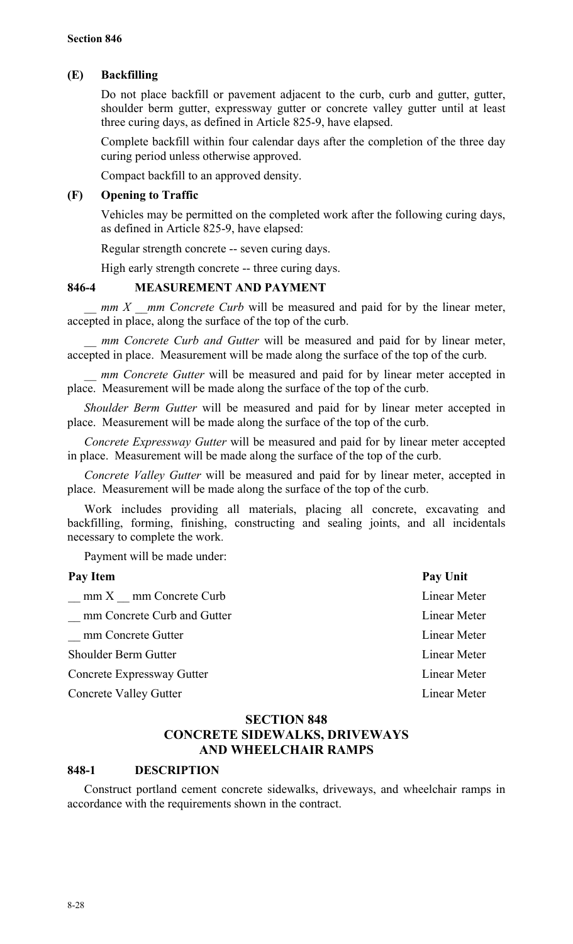## **(E) Backfilling**

Do not place backfill or pavement adjacent to the curb, curb and gutter, gutter, shoulder berm gutter, expressway gutter or concrete valley gutter until at least three curing days, as defined in Article 825-9, have elapsed.

Complete backfill within four calendar days after the completion of the three day curing period unless otherwise approved.

Compact backfill to an approved density.

## **(F) Opening to Traffic**

Vehicles may be permitted on the completed work after the following curing days, as defined in Article 825-9, have elapsed:

Regular strength concrete -- seven curing days.

High early strength concrete -- three curing days.

## **846-4 MEASUREMENT AND PAYMENT**

*mm X \_\_mm Concrete Curb will be measured and paid for by the linear meter,* accepted in place, along the surface of the top of the curb.

*mm Concrete Curb and Gutter will be measured and paid for by linear meter,* accepted in place. Measurement will be made along the surface of the top of the curb.

*mm Concrete Gutter will be measured and paid for by linear meter accepted in* place. Measurement will be made along the surface of the top of the curb.

*Shoulder Berm Gutter* will be measured and paid for by linear meter accepted in place. Measurement will be made along the surface of the top of the curb.

*Concrete Expressway Gutter* will be measured and paid for by linear meter accepted in place. Measurement will be made along the surface of the top of the curb.

*Concrete Valley Gutter* will be measured and paid for by linear meter, accepted in place. Measurement will be made along the surface of the top of the curb.

Work includes providing all materials, placing all concrete, excavating and backfilling, forming, finishing, constructing and sealing joints, and all incidentals necessary to complete the work.

Payment will be made under:

| Pay Item                      | Pay Unit     |
|-------------------------------|--------------|
| $mm X$ mm Concrete Curb       | Linear Meter |
| mm Concrete Curb and Gutter   | Linear Meter |
| mm Concrete Gutter            | Linear Meter |
| Shoulder Berm Gutter          | Linear Meter |
| Concrete Expressway Gutter    | Linear Meter |
| <b>Concrete Valley Gutter</b> | Linear Meter |

## **SECTION 848 CONCRETE SIDEWALKS, DRIVEWAYS AND WHEELCHAIR RAMPS**

## **848-1 DESCRIPTION**

Construct portland cement concrete sidewalks, driveways, and wheelchair ramps in accordance with the requirements shown in the contract.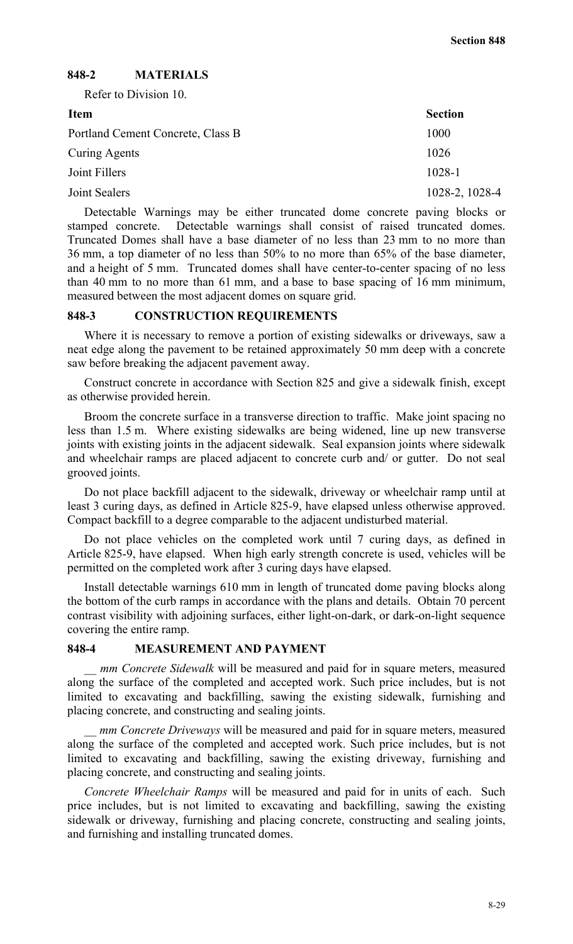## **848-2 MATERIALS**

Refer to Division 10.

| <b>Item</b>                       | <b>Section</b> |
|-----------------------------------|----------------|
| Portland Cement Concrete, Class B | 1000           |
| <b>Curing Agents</b>              | 1026           |
| Joint Fillers                     | 1028-1         |
| Joint Sealers                     | 1028-2, 1028-4 |

Detectable Warnings may be either truncated dome concrete paving blocks or stamped concrete. Detectable warnings shall consist of raised truncated domes. Truncated Domes shall have a base diameter of no less than 23 mm to no more than 36 mm, a top diameter of no less than 50% to no more than 65% of the base diameter, and a height of 5 mm. Truncated domes shall have center-to-center spacing of no less than 40 mm to no more than 61 mm, and a base to base spacing of 16 mm minimum, measured between the most adjacent domes on square grid.

#### **848-3 CONSTRUCTION REQUIREMENTS**

Where it is necessary to remove a portion of existing sidewalks or driveways, saw a neat edge along the pavement to be retained approximately 50 mm deep with a concrete saw before breaking the adjacent pavement away.

Construct concrete in accordance with Section 825 and give a sidewalk finish, except as otherwise provided herein.

Broom the concrete surface in a transverse direction to traffic. Make joint spacing no less than 1.5 m. Where existing sidewalks are being widened, line up new transverse joints with existing joints in the adjacent sidewalk. Seal expansion joints where sidewalk and wheelchair ramps are placed adjacent to concrete curb and/ or gutter. Do not seal grooved joints.

Do not place backfill adjacent to the sidewalk, driveway or wheelchair ramp until at least 3 curing days, as defined in Article 825-9, have elapsed unless otherwise approved. Compact backfill to a degree comparable to the adjacent undisturbed material.

Do not place vehicles on the completed work until 7 curing days, as defined in Article 825-9, have elapsed. When high early strength concrete is used, vehicles will be permitted on the completed work after 3 curing days have elapsed.

Install detectable warnings 610 mm in length of truncated dome paving blocks along the bottom of the curb ramps in accordance with the plans and details. Obtain 70 percent contrast visibility with adjoining surfaces, either light-on-dark, or dark-on-light sequence covering the entire ramp.

#### **848-4 MEASUREMENT AND PAYMENT**

mm Concrete Sidewalk will be measured and paid for in square meters, measured along the surface of the completed and accepted work. Such price includes, but is not limited to excavating and backfilling, sawing the existing sidewalk, furnishing and placing concrete, and constructing and sealing joints.

*mm Concrete Driveways* will be measured and paid for in square meters, measured along the surface of the completed and accepted work. Such price includes, but is not limited to excavating and backfilling, sawing the existing driveway, furnishing and placing concrete, and constructing and sealing joints.

*Concrete Wheelchair Ramps* will be measured and paid for in units of each. Such price includes, but is not limited to excavating and backfilling, sawing the existing sidewalk or driveway, furnishing and placing concrete, constructing and sealing joints, and furnishing and installing truncated domes.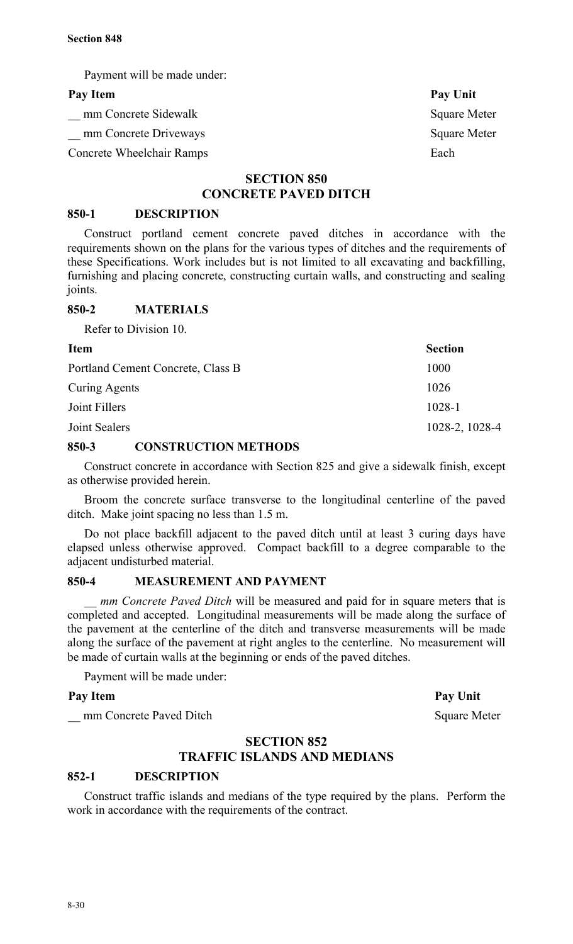Payment will be made under:

#### Pay Item Pay Unit

mm Concrete Sidewalk Square Meter

Let mm Concrete Driveways Square Meter

Concrete Wheelchair Ramps Each

## **SECTION 850 CONCRETE PAVED DITCH**

#### **850-1 DESCRIPTION**

Construct portland cement concrete paved ditches in accordance with the requirements shown on the plans for the various types of ditches and the requirements of these Specifications. Work includes but is not limited to all excavating and backfilling, furnishing and placing concrete, constructing curtain walls, and constructing and sealing joints.

#### **850-2 MATERIALS**

Refer to Division 10.

**Item** Section Portland Cement Concrete, Class B 1000 Curing Agents 1026 Joint Fillers 1028-1 Joint Sealers 1028-2, 1028-4

## **850-3 CONSTRUCTION METHODS**

Construct concrete in accordance with Section 825 and give a sidewalk finish, except as otherwise provided herein.

Broom the concrete surface transverse to the longitudinal centerline of the paved ditch. Make joint spacing no less than 1.5 m.

Do not place backfill adjacent to the paved ditch until at least 3 curing days have elapsed unless otherwise approved. Compact backfill to a degree comparable to the adjacent undisturbed material.

## **850-4 MEASUREMENT AND PAYMENT**

*mm Concrete Paved Ditch* will be measured and paid for in square meters that is completed and accepted. Longitudinal measurements will be made along the surface of the pavement at the centerline of the ditch and transverse measurements will be made along the surface of the pavement at right angles to the centerline. No measurement will be made of curtain walls at the beginning or ends of the paved ditches.

Payment will be made under:

## Pay Item Pay Unit

\_\_ mm Concrete Paved Ditch Square Meter

## **SECTION 852 TRAFFIC ISLANDS AND MEDIANS**

#### **852-1 DESCRIPTION**

Construct traffic islands and medians of the type required by the plans. Perform the work in accordance with the requirements of the contract.

8-30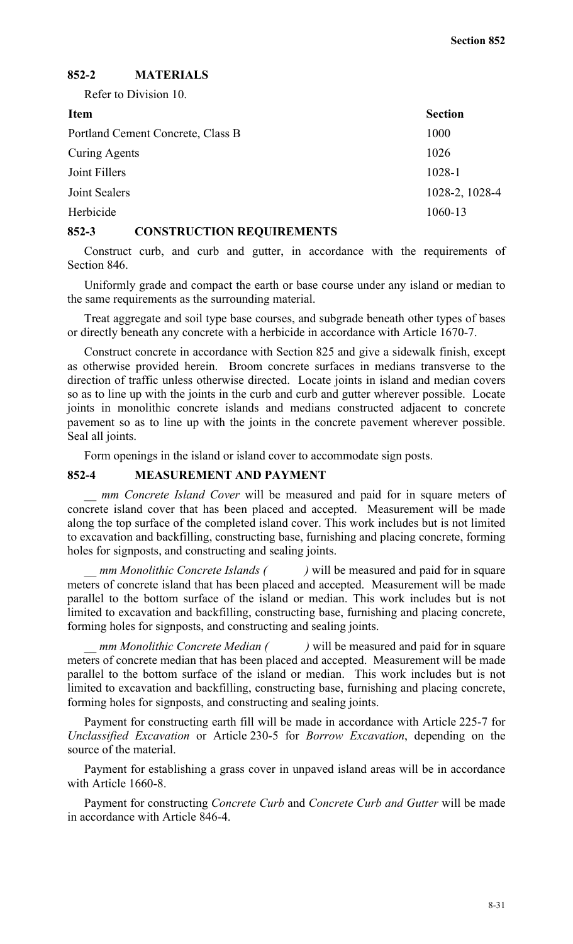## **852-2 MATERIALS**

Refer to Division 10.

| <b>Item</b>                       | <b>Section</b> |
|-----------------------------------|----------------|
| Portland Cement Concrete, Class B | 1000           |
| Curing Agents                     | 1026           |
| Joint Fillers                     | 1028-1         |
| Joint Sealers                     | 1028-2, 1028-4 |
| Herbicide                         | 1060-13        |
|                                   |                |

#### **852-3 CONSTRUCTION REQUIREMENTS**

Construct curb, and curb and gutter, in accordance with the requirements of Section 846.

Uniformly grade and compact the earth or base course under any island or median to the same requirements as the surrounding material.

Treat aggregate and soil type base courses, and subgrade beneath other types of bases or directly beneath any concrete with a herbicide in accordance with Article 1670-7.

Construct concrete in accordance with Section 825 and give a sidewalk finish, except as otherwise provided herein. Broom concrete surfaces in medians transverse to the direction of traffic unless otherwise directed. Locate joints in island and median covers so as to line up with the joints in the curb and curb and gutter wherever possible. Locate joints in monolithic concrete islands and medians constructed adjacent to concrete pavement so as to line up with the joints in the concrete pavement wherever possible. Seal all joints.

Form openings in the island or island cover to accommodate sign posts.

#### **852-4 MEASUREMENT AND PAYMENT**

*mm Concrete Island Cover will be measured and paid for in square meters of* concrete island cover that has been placed and accepted. Measurement will be made along the top surface of the completed island cover. This work includes but is not limited to excavation and backfilling, constructing base, furnishing and placing concrete, forming holes for signposts, and constructing and sealing joints.

*mm Monolithic Concrete Islands ()* will be measured and paid for in square meters of concrete island that has been placed and accepted. Measurement will be made parallel to the bottom surface of the island or median. This work includes but is not limited to excavation and backfilling, constructing base, furnishing and placing concrete, forming holes for signposts, and constructing and sealing joints.

*mm Monolithic Concrete Median ()* will be measured and paid for in square meters of concrete median that has been placed and accepted. Measurement will be made parallel to the bottom surface of the island or median. This work includes but is not limited to excavation and backfilling, constructing base, furnishing and placing concrete, forming holes for signposts, and constructing and sealing joints.

Payment for constructing earth fill will be made in accordance with Article 225-7 for *Unclassified Excavation* or Article 230-5 for *Borrow Excavation*, depending on the source of the material.

Payment for establishing a grass cover in unpaved island areas will be in accordance with Article 1660-8.

Payment for constructing *Concrete Curb* and *Concrete Curb and Gutter* will be made in accordance with Article 846-4.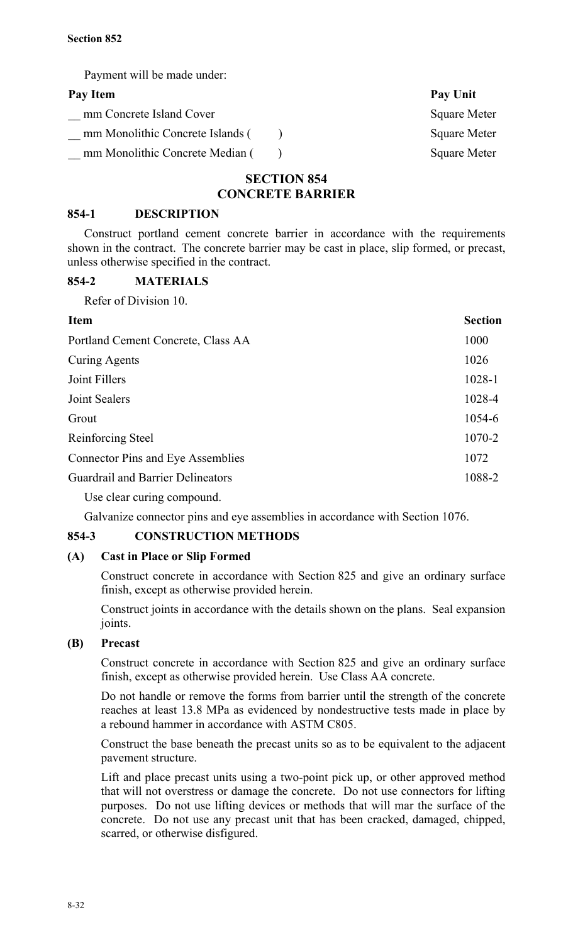Payment will be made under:

| Pay Item                         | Pay Unit            |
|----------------------------------|---------------------|
| mm Concrete Island Cover         | <b>Square Meter</b> |
| mm Monolithic Concrete Islands ( | <b>Square Meter</b> |
| mm Monolithic Concrete Median (  | <b>Square Meter</b> |
|                                  |                     |

## **SECTION 854 CONCRETE BARRIER**

## **854-1 DESCRIPTION**

Construct portland cement concrete barrier in accordance with the requirements shown in the contract. The concrete barrier may be cast in place, slip formed, or precast, unless otherwise specified in the contract.

## **854-2 MATERIALS**

Refer of Division 10.

| <b>Item</b>                              | <b>Section</b> |
|------------------------------------------|----------------|
| Portland Cement Concrete, Class AA       | 1000           |
| Curing Agents                            | 1026           |
| Joint Fillers                            | 1028-1         |
| Joint Sealers                            | 1028-4         |
| Grout                                    | 1054-6         |
| Reinforcing Steel                        | 1070-2         |
| <b>Connector Pins and Eye Assemblies</b> | 1072           |
| <b>Guardrail and Barrier Delineators</b> | 1088-2         |
|                                          |                |

Use clear curing compound.

Galvanize connector pins and eye assemblies in accordance with Section 1076.

## **854-3 CONSTRUCTION METHODS**

## **(A) Cast in Place or Slip Formed**

Construct concrete in accordance with Section 825 and give an ordinary surface finish, except as otherwise provided herein.

Construct joints in accordance with the details shown on the plans. Seal expansion joints.

## **(B) Precast**

Construct concrete in accordance with Section 825 and give an ordinary surface finish, except as otherwise provided herein. Use Class AA concrete.

Do not handle or remove the forms from barrier until the strength of the concrete reaches at least 13.8 MPa as evidenced by nondestructive tests made in place by a rebound hammer in accordance with ASTM C805.

Construct the base beneath the precast units so as to be equivalent to the adjacent pavement structure.

Lift and place precast units using a two-point pick up, or other approved method that will not overstress or damage the concrete. Do not use connectors for lifting purposes. Do not use lifting devices or methods that will mar the surface of the concrete. Do not use any precast unit that has been cracked, damaged, chipped, scarred, or otherwise disfigured.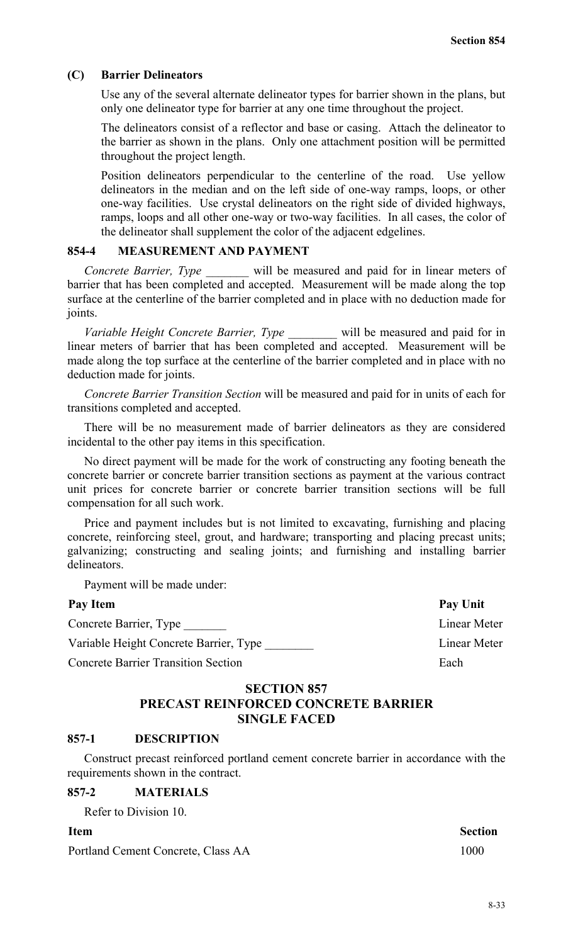#### **(C) Barrier Delineators**

Use any of the several alternate delineator types for barrier shown in the plans, but only one delineator type for barrier at any one time throughout the project.

The delineators consist of a reflector and base or casing. Attach the delineator to the barrier as shown in the plans. Only one attachment position will be permitted throughout the project length.

Position delineators perpendicular to the centerline of the road. Use yellow delineators in the median and on the left side of one-way ramps, loops, or other one-way facilities. Use crystal delineators on the right side of divided highways, ramps, loops and all other one-way or two-way facilities. In all cases, the color of the delineator shall supplement the color of the adjacent edgelines.

#### **854-4 MEASUREMENT AND PAYMENT**

*Concrete Barrier, Type \_\_\_\_\_\_\_* will be measured and paid for in linear meters of barrier that has been completed and accepted. Measurement will be made along the top surface at the centerline of the barrier completed and in place with no deduction made for joints.

*Variable Height Concrete Barrier, Type \_\_\_\_\_\_\_\_* will be measured and paid for in *Variable Height Concrete Barrier*, *Type* <u>and</u> will be ineasured and paid for in linear meters of barrier that has been completed and accepted. Measurement will be made along the top surface at the centerline of the barrier completed and in place with no deduction made for joints.

*Concrete Barrier Transition Section* will be measured and paid for in units of each for transitions completed and accepted.

There will be no measurement made of barrier delineators as they are considered incidental to the other pay items in this specification.

No direct payment will be made for the work of constructing any footing beneath the concrete barrier or concrete barrier transition sections as payment at the various contract unit prices for concrete barrier or concrete barrier transition sections will be full compensation for all such work.

Price and payment includes but is not limited to excavating, furnishing and placing concrete, reinforcing steel, grout, and hardware; transporting and placing precast units; galvanizing; constructing and sealing joints; and furnishing and installing barrier delineators.

Payment will be made under:

#### Pay Item Pay Unit

Concrete Barrier, Type Linear Meter Variable Height Concrete Barrier, Type Linear Meter **Concrete Barrier Transition Section** *Each* 

## **SECTION 857 PRECAST REINFORCED CONCRETE BARRIER SINGLE FACED**

#### **857-1 DESCRIPTION**

Construct precast reinforced portland cement concrete barrier in accordance with the requirements shown in the contract.

## **857-2 MATERIALS**

Refer to Division 10.

Portland Cement Concrete, Class AA 1000

**Item** Section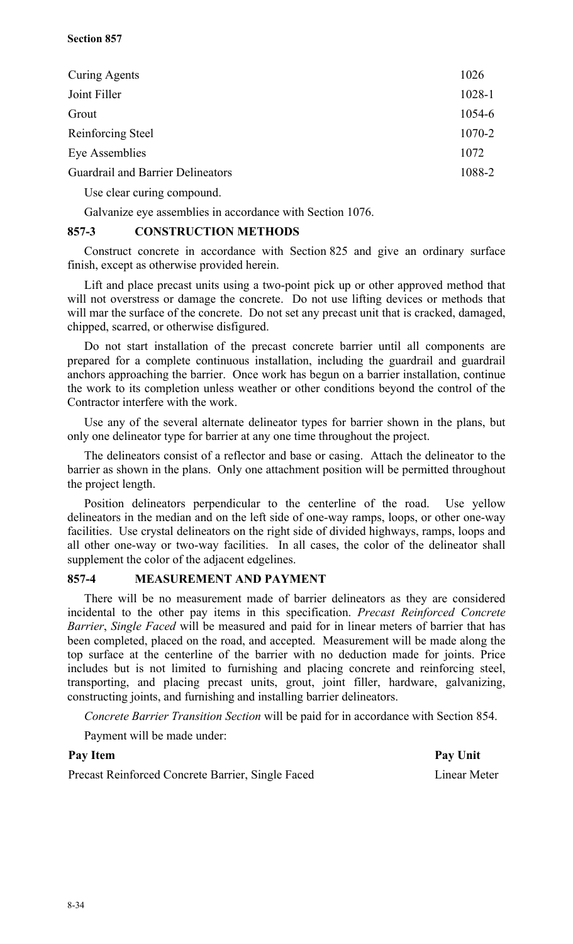| Curing Agents                            | 1026   |
|------------------------------------------|--------|
| Joint Filler                             | 1028-1 |
| Grout                                    | 1054-6 |
| Reinforcing Steel                        | 1070-2 |
| Eye Assemblies                           | 1072   |
| <b>Guardrail and Barrier Delineators</b> | 1088-2 |
| Use clear curing compound.               |        |

Galvanize eye assemblies in accordance with Section 1076.

## **857-3 CONSTRUCTION METHODS**

Construct concrete in accordance with Section 825 and give an ordinary surface finish, except as otherwise provided herein.

Lift and place precast units using a two-point pick up or other approved method that will not overstress or damage the concrete. Do not use lifting devices or methods that will mar the surface of the concrete. Do not set any precast unit that is cracked, damaged, chipped, scarred, or otherwise disfigured.

Do not start installation of the precast concrete barrier until all components are prepared for a complete continuous installation, including the guardrail and guardrail anchors approaching the barrier. Once work has begun on a barrier installation, continue the work to its completion unless weather or other conditions beyond the control of the Contractor interfere with the work.

Use any of the several alternate delineator types for barrier shown in the plans, but only one delineator type for barrier at any one time throughout the project.

The delineators consist of a reflector and base or casing. Attach the delineator to the barrier as shown in the plans. Only one attachment position will be permitted throughout the project length.

Position delineators perpendicular to the centerline of the road. Use yellow delineators in the median and on the left side of one-way ramps, loops, or other one-way facilities. Use crystal delineators on the right side of divided highways, ramps, loops and all other one-way or two-way facilities. In all cases, the color of the delineator shall supplement the color of the adjacent edgelines.

#### **857-4 MEASUREMENT AND PAYMENT**

There will be no measurement made of barrier delineators as they are considered incidental to the other pay items in this specification. *Precast Reinforced Concrete Barrier*, *Single Faced* will be measured and paid for in linear meters of barrier that has been completed, placed on the road, and accepted. Measurement will be made along the top surface at the centerline of the barrier with no deduction made for joints. Price includes but is not limited to furnishing and placing concrete and reinforcing steel, transporting, and placing precast units, grout, joint filler, hardware, galvanizing, constructing joints, and furnishing and installing barrier delineators.

*Concrete Barrier Transition Section* will be paid for in accordance with Section 854.

Payment will be made under:

#### Pay Item Pay Unit

Precast Reinforced Concrete Barrier, Single Faced Linear Meter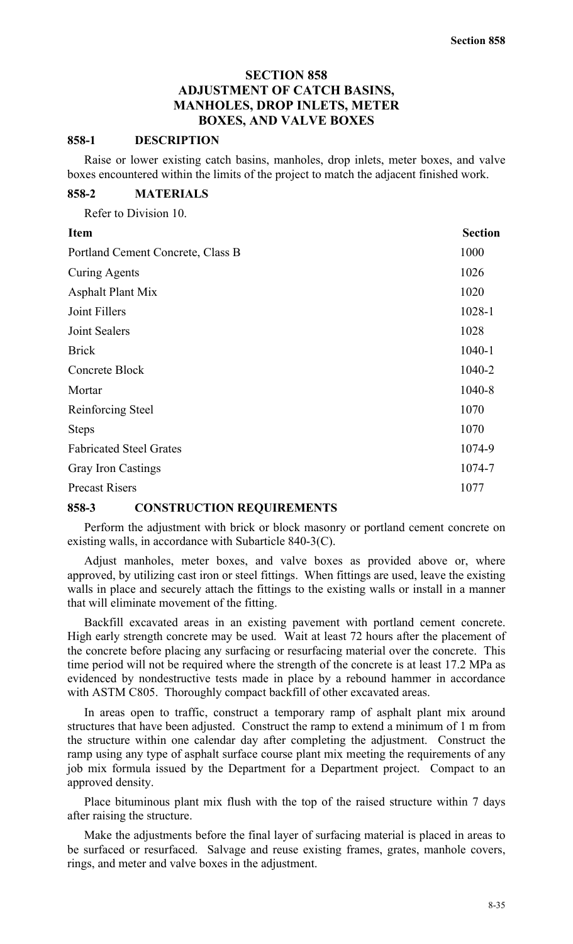## **SECTION 858 ADJUSTMENT OF CATCH BASINS, MANHOLES, DROP INLETS, METER BOXES, AND VALVE BOXES**

#### **858-1 DESCRIPTION**

Raise or lower existing catch basins, manholes, drop inlets, meter boxes, and valve boxes encountered within the limits of the project to match the adjacent finished work.

#### **858-2 MATERIALS**

Refer to Division 10.

| <b>Item</b>                       | <b>Section</b> |
|-----------------------------------|----------------|
| Portland Cement Concrete, Class B | 1000           |
| <b>Curing Agents</b>              | 1026           |
| <b>Asphalt Plant Mix</b>          | 1020           |
| Joint Fillers                     | 1028-1         |
| Joint Sealers                     | 1028           |
| <b>Brick</b>                      | 1040-1         |
| Concrete Block                    | 1040-2         |
| Mortar                            | 1040-8         |
| Reinforcing Steel                 | 1070           |
| <b>Steps</b>                      | 1070           |
| <b>Fabricated Steel Grates</b>    | 1074-9         |
| <b>Gray Iron Castings</b>         | 1074-7         |
| <b>Precast Risers</b>             | 1077           |

#### **858-3 CONSTRUCTION REQUIREMENTS**

Perform the adjustment with brick or block masonry or portland cement concrete on existing walls, in accordance with Subarticle 840-3(C).

Adjust manholes, meter boxes, and valve boxes as provided above or, where approved, by utilizing cast iron or steel fittings. When fittings are used, leave the existing walls in place and securely attach the fittings to the existing walls or install in a manner that will eliminate movement of the fitting.

Backfill excavated areas in an existing pavement with portland cement concrete. High early strength concrete may be used. Wait at least 72 hours after the placement of the concrete before placing any surfacing or resurfacing material over the concrete. This time period will not be required where the strength of the concrete is at least 17.2 MPa as evidenced by nondestructive tests made in place by a rebound hammer in accordance with ASTM C805. Thoroughly compact backfill of other excavated areas.

In areas open to traffic, construct a temporary ramp of asphalt plant mix around structures that have been adjusted. Construct the ramp to extend a minimum of 1 m from the structure within one calendar day after completing the adjustment. Construct the ramp using any type of asphalt surface course plant mix meeting the requirements of any job mix formula issued by the Department for a Department project. Compact to an approved density.

Place bituminous plant mix flush with the top of the raised structure within 7 days after raising the structure.

Make the adjustments before the final layer of surfacing material is placed in areas to be surfaced or resurfaced. Salvage and reuse existing frames, grates, manhole covers, rings, and meter and valve boxes in the adjustment.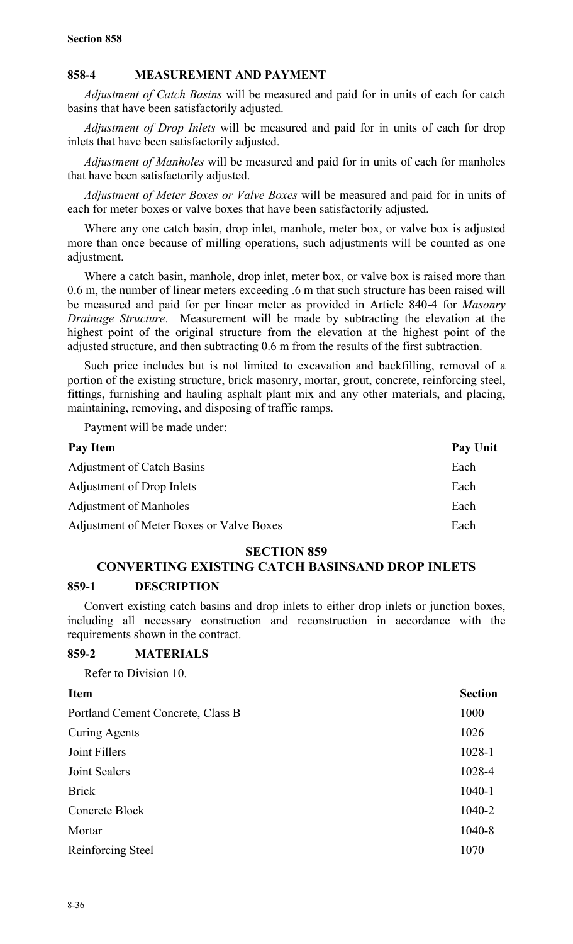## **858-4 MEASUREMENT AND PAYMENT**

*Adjustment of Catch Basins* will be measured and paid for in units of each for catch basins that have been satisfactorily adjusted.

*Adjustment of Drop Inlets* will be measured and paid for in units of each for drop inlets that have been satisfactorily adjusted.

*Adjustment of Manholes* will be measured and paid for in units of each for manholes that have been satisfactorily adjusted.

*Adjustment of Meter Boxes or Valve Boxes* will be measured and paid for in units of each for meter boxes or valve boxes that have been satisfactorily adjusted.

Where any one catch basin, drop inlet, manhole, meter box, or valve box is adjusted more than once because of milling operations, such adjustments will be counted as one adjustment.

Where a catch basin, manhole, drop inlet, meter box, or valve box is raised more than 0.6 m, the number of linear meters exceeding .6 m that such structure has been raised will be measured and paid for per linear meter as provided in Article 840-4 for *Masonry Drainage Structure*. Measurement will be made by subtracting the elevation at the highest point of the original structure from the elevation at the highest point of the adjusted structure, and then subtracting 0.6 m from the results of the first subtraction.

Such price includes but is not limited to excavation and backfilling, removal of a portion of the existing structure, brick masonry, mortar, grout, concrete, reinforcing steel, fittings, furnishing and hauling asphalt plant mix and any other materials, and placing, maintaining, removing, and disposing of traffic ramps.

Payment will be made under:

| Pay Unit |
|----------|
| Each     |
| Each     |
| Each     |
| Each     |
|          |

## **SECTION 859**

## **CONVERTING EXISTING CATCH BASINSAND DROP INLETS**

#### **859-1 DESCRIPTION**

Convert existing catch basins and drop inlets to either drop inlets or junction boxes, including all necessary construction and reconstruction in accordance with the requirements shown in the contract.

#### **859-2 MATERIALS**

Refer to Division 10.

| <b>Item</b>                       | <b>Section</b> |
|-----------------------------------|----------------|
| Portland Cement Concrete, Class B | 1000           |
| <b>Curing Agents</b>              | 1026           |
| Joint Fillers                     | 1028-1         |
| Joint Sealers                     | 1028-4         |
| <b>Brick</b>                      | $1040 - 1$     |
| Concrete Block                    | 1040-2         |
| Mortar                            | 1040-8         |
| Reinforcing Steel                 | 1070           |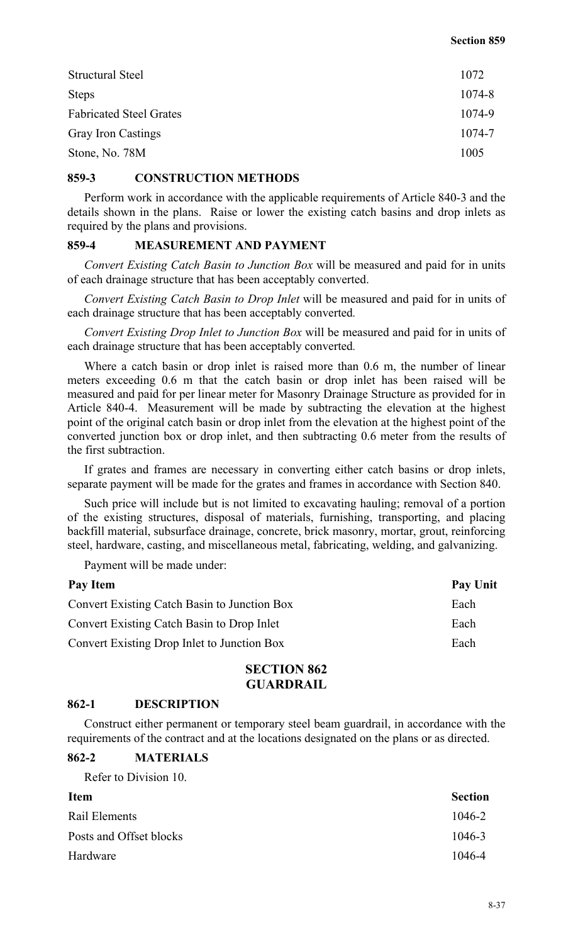| <b>Structural Steel</b>        | 1072   |
|--------------------------------|--------|
| <b>Steps</b>                   | 1074-8 |
| <b>Fabricated Steel Grates</b> | 1074-9 |
| <b>Gray Iron Castings</b>      | 1074-7 |
| Stone, No. 78M                 | 1005   |

#### **859-3 CONSTRUCTION METHODS**

Perform work in accordance with the applicable requirements of Article 840-3 and the details shown in the plans. Raise or lower the existing catch basins and drop inlets as required by the plans and provisions.

#### **859-4 MEASUREMENT AND PAYMENT**

*Convert Existing Catch Basin to Junction Box* will be measured and paid for in units of each drainage structure that has been acceptably converted.

*Convert Existing Catch Basin to Drop Inlet* will be measured and paid for in units of each drainage structure that has been acceptably converted*.*

*Convert Existing Drop Inlet to Junction Box* will be measured and paid for in units of each drainage structure that has been acceptably converted*.*

Where a catch basin or drop inlet is raised more than 0.6 m, the number of linear meters exceeding 0.6 m that the catch basin or drop inlet has been raised will be measured and paid for per linear meter for Masonry Drainage Structure as provided for in Article 840-4. Measurement will be made by subtracting the elevation at the highest point of the original catch basin or drop inlet from the elevation at the highest point of the converted junction box or drop inlet, and then subtracting 0.6 meter from the results of the first subtraction.

If grates and frames are necessary in converting either catch basins or drop inlets, separate payment will be made for the grates and frames in accordance with Section 840.

Such price will include but is not limited to excavating hauling; removal of a portion of the existing structures, disposal of materials, furnishing, transporting, and placing backfill material, subsurface drainage, concrete, brick masonry, mortar, grout, reinforcing steel, hardware, casting, and miscellaneous metal, fabricating, welding, and galvanizing.

Payment will be made under:

| Pay Item                                            | <b>Pay Unit</b> |
|-----------------------------------------------------|-----------------|
| <b>Convert Existing Catch Basin to Junction Box</b> | Each            |
| <b>Convert Existing Catch Basin to Drop Inlet</b>   | Each            |
| Convert Existing Drop Inlet to Junction Box         | Each            |
|                                                     |                 |

## **SECTION 862 GUARDRAIL**

#### **862-1 DESCRIPTION**

Construct either permanent or temporary steel beam guardrail, in accordance with the requirements of the contract and at the locations designated on the plans or as directed.

#### **862-2 MATERIALS**

Refer to Division 10.

| <b>Item</b>             | <b>Section</b> |
|-------------------------|----------------|
| Rail Elements           | 1046-2         |
| Posts and Offset blocks | 1046-3         |
| Hardware                | 1046-4         |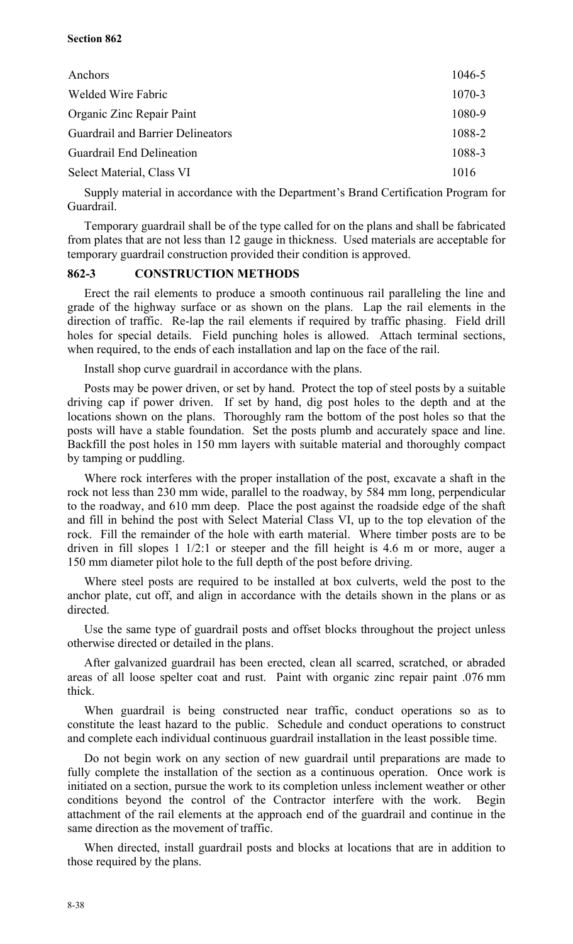#### **Section 862**

| Anchors                                  | 1046-5 |
|------------------------------------------|--------|
| Welded Wire Fabric                       | 1070-3 |
| Organic Zinc Repair Paint                | 1080-9 |
| <b>Guardrail and Barrier Delineators</b> | 1088-2 |
| <b>Guardrail End Delineation</b>         | 1088-3 |
| Select Material, Class VI                | 1016   |

Supply material in accordance with the Department's Brand Certification Program for Guardrail.

Temporary guardrail shall be of the type called for on the plans and shall be fabricated from plates that are not less than 12 gauge in thickness. Used materials are acceptable for temporary guardrail construction provided their condition is approved.

#### **862-3 CONSTRUCTION METHODS**

Erect the rail elements to produce a smooth continuous rail paralleling the line and grade of the highway surface or as shown on the plans. Lap the rail elements in the direction of traffic. Re-lap the rail elements if required by traffic phasing. Field drill holes for special details. Field punching holes is allowed. Attach terminal sections, when required, to the ends of each installation and lap on the face of the rail.

Install shop curve guardrail in accordance with the plans.

Posts may be power driven, or set by hand. Protect the top of steel posts by a suitable driving cap if power driven. If set by hand, dig post holes to the depth and at the locations shown on the plans. Thoroughly ram the bottom of the post holes so that the posts will have a stable foundation. Set the posts plumb and accurately space and line. Backfill the post holes in 150 mm layers with suitable material and thoroughly compact by tamping or puddling.

Where rock interferes with the proper installation of the post, excavate a shaft in the rock not less than 230 mm wide, parallel to the roadway, by 584 mm long, perpendicular to the roadway, and 610 mm deep. Place the post against the roadside edge of the shaft and fill in behind the post with Select Material Class VI, up to the top elevation of the rock. Fill the remainder of the hole with earth material. Where timber posts are to be driven in fill slopes 1 1/2:1 or steeper and the fill height is 4.6 m or more, auger a 150 mm diameter pilot hole to the full depth of the post before driving.

Where steel posts are required to be installed at box culverts, weld the post to the anchor plate, cut off, and align in accordance with the details shown in the plans or as directed.

Use the same type of guardrail posts and offset blocks throughout the project unless otherwise directed or detailed in the plans.

After galvanized guardrail has been erected, clean all scarred, scratched, or abraded areas of all loose spelter coat and rust. Paint with organic zinc repair paint .076 mm thick.

When guardrail is being constructed near traffic, conduct operations so as to constitute the least hazard to the public. Schedule and conduct operations to construct and complete each individual continuous guardrail installation in the least possible time.

Do not begin work on any section of new guardrail until preparations are made to fully complete the installation of the section as a continuous operation. Once work is initiated on a section, pursue the work to its completion unless inclement weather or other conditions beyond the control of the Contractor interfere with the work. Begin attachment of the rail elements at the approach end of the guardrail and continue in the same direction as the movement of traffic.

When directed, install guardrail posts and blocks at locations that are in addition to those required by the plans.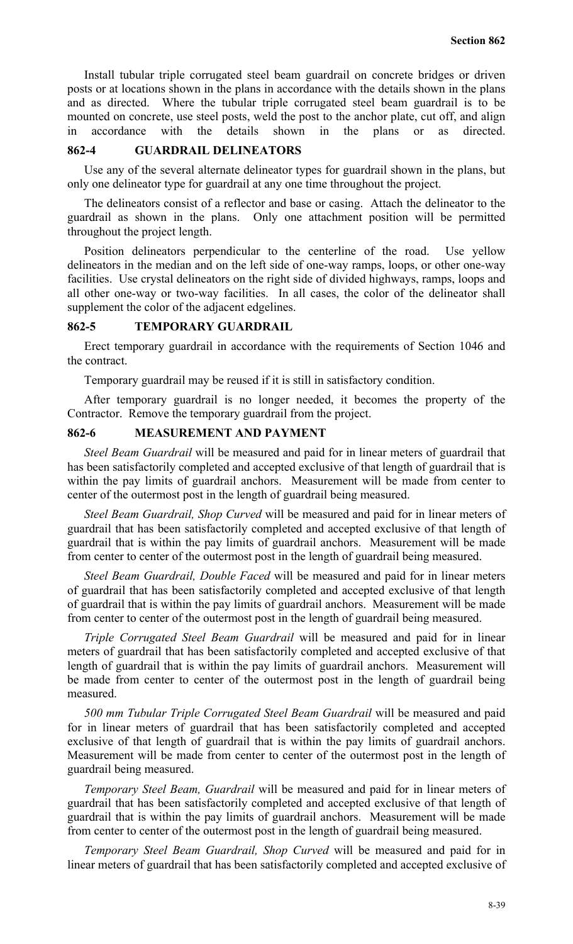Install tubular triple corrugated steel beam guardrail on concrete bridges or driven posts or at locations shown in the plans in accordance with the details shown in the plans and as directed. Where the tubular triple corrugated steel beam guardrail is to be mounted on concrete, use steel posts, weld the post to the anchor plate, cut off, and align in accordance with the details shown in the plans or as directed.

#### **862-4 GUARDRAIL DELINEATORS**

Use any of the several alternate delineator types for guardrail shown in the plans, but only one delineator type for guardrail at any one time throughout the project.

The delineators consist of a reflector and base or casing. Attach the delineator to the guardrail as shown in the plans. Only one attachment position will be permitted throughout the project length.

Position delineators perpendicular to the centerline of the road. Use yellow delineators in the median and on the left side of one-way ramps, loops, or other one-way facilities. Use crystal delineators on the right side of divided highways, ramps, loops and all other one-way or two-way facilities. In all cases, the color of the delineator shall supplement the color of the adjacent edgelines.

#### **862-5 TEMPORARY GUARDRAIL**

Erect temporary guardrail in accordance with the requirements of Section 1046 and the contract.

Temporary guardrail may be reused if it is still in satisfactory condition.

After temporary guardrail is no longer needed, it becomes the property of the Contractor. Remove the temporary guardrail from the project.

## **862-6 MEASUREMENT AND PAYMENT**

*Steel Beam Guardrail* will be measured and paid for in linear meters of guardrail that has been satisfactorily completed and accepted exclusive of that length of guardrail that is within the pay limits of guardrail anchors. Measurement will be made from center to center of the outermost post in the length of guardrail being measured.

*Steel Beam Guardrail, Shop Curved* will be measured and paid for in linear meters of guardrail that has been satisfactorily completed and accepted exclusive of that length of guardrail that is within the pay limits of guardrail anchors. Measurement will be made from center to center of the outermost post in the length of guardrail being measured.

*Steel Beam Guardrail, Double Faced* will be measured and paid for in linear meters of guardrail that has been satisfactorily completed and accepted exclusive of that length of guardrail that is within the pay limits of guardrail anchors. Measurement will be made from center to center of the outermost post in the length of guardrail being measured.

*Triple Corrugated Steel Beam Guardrail* will be measured and paid for in linear meters of guardrail that has been satisfactorily completed and accepted exclusive of that length of guardrail that is within the pay limits of guardrail anchors. Measurement will be made from center to center of the outermost post in the length of guardrail being measured.

*500 mm Tubular Triple Corrugated Steel Beam Guardrail* will be measured and paid for in linear meters of guardrail that has been satisfactorily completed and accepted exclusive of that length of guardrail that is within the pay limits of guardrail anchors. Measurement will be made from center to center of the outermost post in the length of guardrail being measured.

*Temporary Steel Beam, Guardrail* will be measured and paid for in linear meters of guardrail that has been satisfactorily completed and accepted exclusive of that length of guardrail that is within the pay limits of guardrail anchors. Measurement will be made from center to center of the outermost post in the length of guardrail being measured.

*Temporary Steel Beam Guardrail, Shop Curved* will be measured and paid for in linear meters of guardrail that has been satisfactorily completed and accepted exclusive of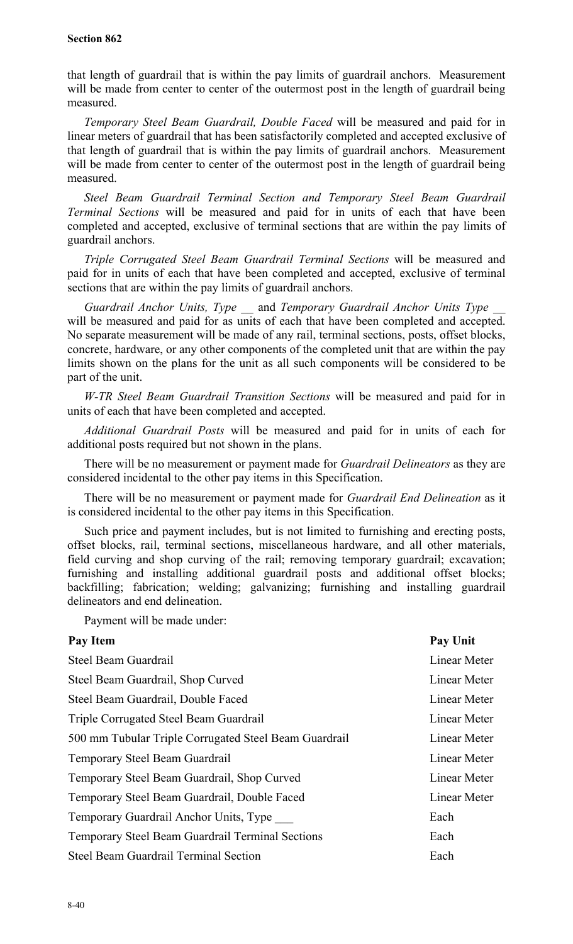#### **Section 862**

that length of guardrail that is within the pay limits of guardrail anchors. Measurement will be made from center to center of the outermost post in the length of guardrail being measured.

*Temporary Steel Beam Guardrail, Double Faced* will be measured and paid for in linear meters of guardrail that has been satisfactorily completed and accepted exclusive of that length of guardrail that is within the pay limits of guardrail anchors. Measurement will be made from center to center of the outermost post in the length of guardrail being measured.

*Steel Beam Guardrail Terminal Section and Temporary Steel Beam Guardrail Terminal Sections* will be measured and paid for in units of each that have been completed and accepted, exclusive of terminal sections that are within the pay limits of guardrail anchors.

*Triple Corrugated Steel Beam Guardrail Terminal Sections* will be measured and paid for in units of each that have been completed and accepted, exclusive of terminal sections that are within the pay limits of guardrail anchors.

*Guardrail Anchor Units, Type* \_\_ and *Temporary Guardrail Anchor Units Type \_\_* will be measured and paid for as units of each that have been completed and accepted. No separate measurement will be made of any rail, terminal sections, posts, offset blocks, concrete, hardware, or any other components of the completed unit that are within the pay limits shown on the plans for the unit as all such components will be considered to be part of the unit.

*W-TR Steel Beam Guardrail Transition Sections* will be measured and paid for in units of each that have been completed and accepted.

*Additional Guardrail Posts* will be measured and paid for in units of each for additional posts required but not shown in the plans.

There will be no measurement or payment made for *Guardrail Delineators* as they are considered incidental to the other pay items in this Specification.

There will be no measurement or payment made for *Guardrail End Delineation* as it is considered incidental to the other pay items in this Specification.

Such price and payment includes, but is not limited to furnishing and erecting posts, offset blocks, rail, terminal sections, miscellaneous hardware, and all other materials, field curving and shop curving of the rail; removing temporary guardrail; excavation; furnishing and installing additional guardrail posts and additional offset blocks; backfilling; fabrication; welding; galvanizing; furnishing and installing guardrail delineators and end delineation.

Payment will be made under:

| Pay Item                                                | <b>Pay Unit</b> |
|---------------------------------------------------------|-----------------|
| Steel Beam Guardrail                                    | Linear Meter    |
| Steel Beam Guardrail, Shop Curved                       | Linear Meter    |
| Steel Beam Guardrail, Double Faced                      | Linear Meter    |
| Triple Corrugated Steel Beam Guardrail                  | Linear Meter    |
| 500 mm Tubular Triple Corrugated Steel Beam Guardrail   | Linear Meter    |
| Temporary Steel Beam Guardrail                          | Linear Meter    |
| Temporary Steel Beam Guardrail, Shop Curved             | Linear Meter    |
| Temporary Steel Beam Guardrail, Double Faced            | Linear Meter    |
| Temporary Guardrail Anchor Units, Type                  | Each            |
| <b>Temporary Steel Beam Guardrail Terminal Sections</b> | Each            |
| <b>Steel Beam Guardrail Terminal Section</b>            | Each            |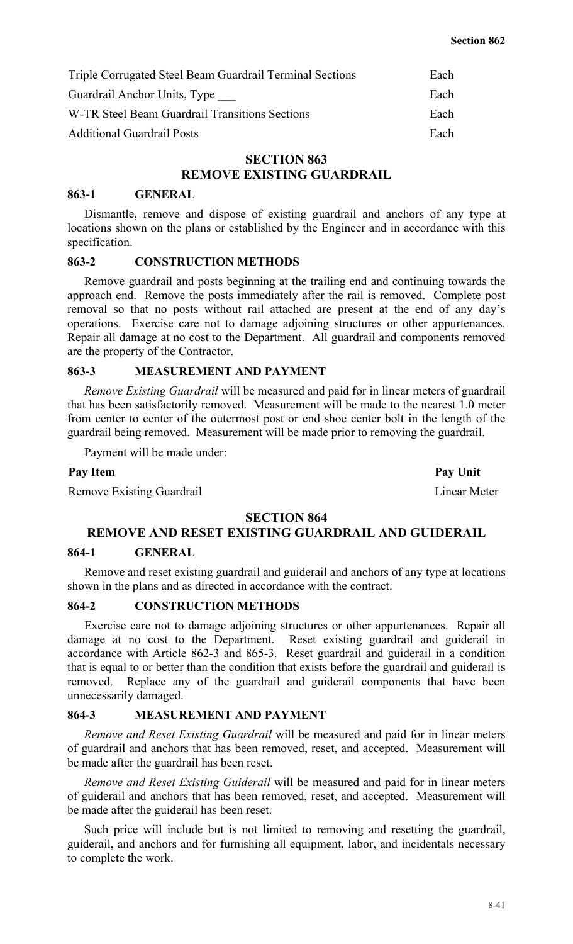| Triple Corrugated Steel Beam Guardrail Terminal Sections | Each |
|----------------------------------------------------------|------|
| Guardrail Anchor Units, Type                             | Each |
| W-TR Steel Beam Guardrail Transitions Sections           | Each |
| <b>Additional Guardrail Posts</b>                        | Each |

## **SECTION 863**

## **REMOVE EXISTING GUARDRAIL**

#### **863-1 GENERAL**

Dismantle, remove and dispose of existing guardrail and anchors of any type at locations shown on the plans or established by the Engineer and in accordance with this specification.

#### **863-2 CONSTRUCTION METHODS**

Remove guardrail and posts beginning at the trailing end and continuing towards the approach end. Remove the posts immediately after the rail is removed. Complete post removal so that no posts without rail attached are present at the end of any day's operations. Exercise care not to damage adjoining structures or other appurtenances. Repair all damage at no cost to the Department. All guardrail and components removed are the property of the Contractor.

#### **863-3 MEASUREMENT AND PAYMENT**

*Remove Existing Guardrail* will be measured and paid for in linear meters of guardrail that has been satisfactorily removed. Measurement will be made to the nearest 1.0 meter from center to center of the outermost post or end shoe center bolt in the length of the guardrail being removed. Measurement will be made prior to removing the guardrail.

Payment will be made under:

Remove Existing Guardrail **Existing Guardrail** Linear Meter

#### **SECTION 864**

#### **REMOVE AND RESET EXISTING GUARDRAIL AND GUIDERAIL**

#### **864-1 GENERAL**

Remove and reset existing guardrail and guiderail and anchors of any type at locations shown in the plans and as directed in accordance with the contract.

#### **864-2 CONSTRUCTION METHODS**

Exercise care not to damage adjoining structures or other appurtenances. Repair all damage at no cost to the Department. Reset existing guardrail and guiderail in accordance with Article 862-3 and 865-3. Reset guardrail and guiderail in a condition that is equal to or better than the condition that exists before the guardrail and guiderail is removed. Replace any of the guardrail and guiderail components that have been unnecessarily damaged.

#### **864-3 MEASUREMENT AND PAYMENT**

*Remove and Reset Existing Guardrail* will be measured and paid for in linear meters of guardrail and anchors that has been removed, reset, and accepted. Measurement will be made after the guardrail has been reset.

*Remove and Reset Existing Guiderail* will be measured and paid for in linear meters of guiderail and anchors that has been removed, reset, and accepted. Measurement will be made after the guiderail has been reset.

Such price will include but is not limited to removing and resetting the guardrail, guiderail, and anchors and for furnishing all equipment, labor, and incidentals necessary to complete the work.

**Pay Item Pay Unit**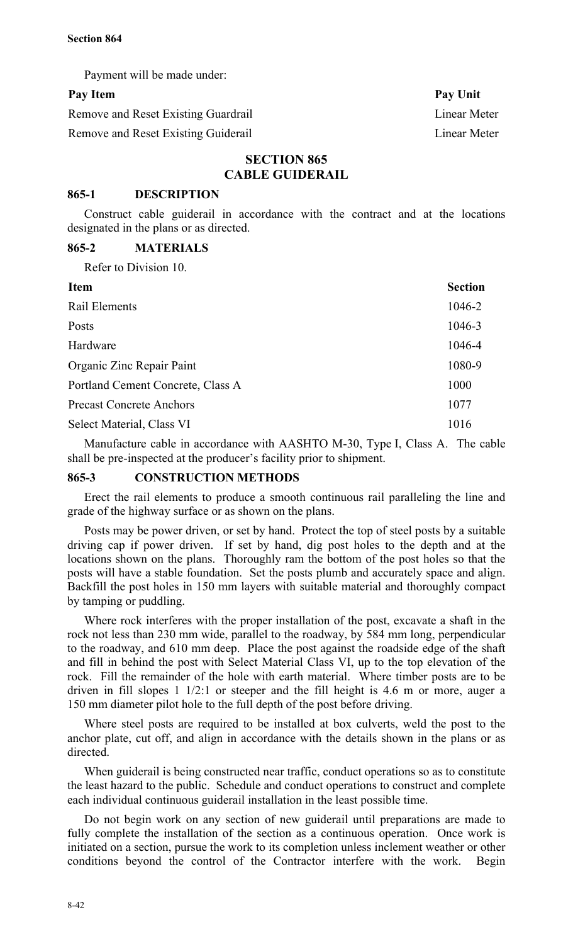Payment will be made under:

## Pay Item Pay Unit

Remove and Reset Existing Guardrail Linear Meter

Remove and Reset Existing Guiderail Linear Meter

## **SECTION 865 CABLE GUIDERAIL**

#### **865-1 DESCRIPTION**

Construct cable guiderail in accordance with the contract and at the locations designated in the plans or as directed.

## **865-2 MATERIALS**

Refer to Division 10.

| <b>Item</b>                       | <b>Section</b> |
|-----------------------------------|----------------|
| Rail Elements                     | 1046-2         |
| Posts                             | 1046-3         |
| Hardware                          | 1046-4         |
| Organic Zinc Repair Paint         | 1080-9         |
| Portland Cement Concrete, Class A | 1000           |
| <b>Precast Concrete Anchors</b>   | 1077           |
| Select Material, Class VI         | 1016           |

Manufacture cable in accordance with AASHTO M-30, Type I, Class A. The cable shall be pre-inspected at the producer's facility prior to shipment.

#### **865-3 CONSTRUCTION METHODS**

Erect the rail elements to produce a smooth continuous rail paralleling the line and grade of the highway surface or as shown on the plans.

Posts may be power driven, or set by hand. Protect the top of steel posts by a suitable driving cap if power driven. If set by hand, dig post holes to the depth and at the locations shown on the plans. Thoroughly ram the bottom of the post holes so that the posts will have a stable foundation. Set the posts plumb and accurately space and align. Backfill the post holes in 150 mm layers with suitable material and thoroughly compact by tamping or puddling.

Where rock interferes with the proper installation of the post, excavate a shaft in the rock not less than 230 mm wide, parallel to the roadway, by 584 mm long, perpendicular to the roadway, and 610 mm deep. Place the post against the roadside edge of the shaft and fill in behind the post with Select Material Class VI, up to the top elevation of the rock. Fill the remainder of the hole with earth material. Where timber posts are to be driven in fill slopes 1 1/2:1 or steeper and the fill height is 4.6 m or more, auger a 150 mm diameter pilot hole to the full depth of the post before driving.

Where steel posts are required to be installed at box culverts, weld the post to the anchor plate, cut off, and align in accordance with the details shown in the plans or as directed.

When guiderail is being constructed near traffic, conduct operations so as to constitute the least hazard to the public. Schedule and conduct operations to construct and complete each individual continuous guiderail installation in the least possible time.

Do not begin work on any section of new guiderail until preparations are made to fully complete the installation of the section as a continuous operation. Once work is initiated on a section, pursue the work to its completion unless inclement weather or other conditions beyond the control of the Contractor interfere with the work. Begin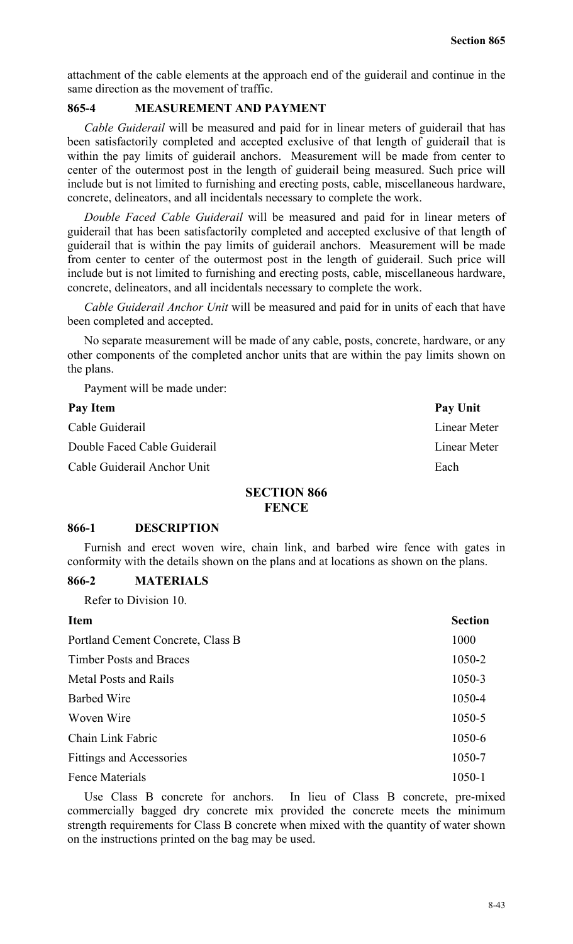attachment of the cable elements at the approach end of the guiderail and continue in the same direction as the movement of traffic.

## **865-4 MEASUREMENT AND PAYMENT**

*Cable Guiderail* will be measured and paid for in linear meters of guiderail that has been satisfactorily completed and accepted exclusive of that length of guiderail that is within the pay limits of guiderail anchors. Measurement will be made from center to center of the outermost post in the length of guiderail being measured. Such price will include but is not limited to furnishing and erecting posts, cable, miscellaneous hardware, concrete, delineators, and all incidentals necessary to complete the work.

*Double Faced Cable Guiderail* will be measured and paid for in linear meters of guiderail that has been satisfactorily completed and accepted exclusive of that length of guiderail that is within the pay limits of guiderail anchors. Measurement will be made from center to center of the outermost post in the length of guiderail. Such price will include but is not limited to furnishing and erecting posts, cable, miscellaneous hardware, concrete, delineators, and all incidentals necessary to complete the work.

*Cable Guiderail Anchor Unit* will be measured and paid for in units of each that have been completed and accepted.

No separate measurement will be made of any cable, posts, concrete, hardware, or any other components of the completed anchor units that are within the pay limits shown on the plans.

Payment will be made under:

# Pay Item Pay Unit Cable Guiderail Linear Meter Double Faced Cable Guiderail **Linear Meter** Cable Guiderail Anchor Unit Each

## **SECTION 866 FENCE**

#### **866-1 DESCRIPTION**

Furnish and erect woven wire, chain link, and barbed wire fence with gates in conformity with the details shown on the plans and at locations as shown on the plans.

#### **866-2 MATERIALS**

Refer to Division 10.

| <b>Item</b>                       | <b>Section</b> |
|-----------------------------------|----------------|
| Portland Cement Concrete, Class B | 1000           |
| <b>Timber Posts and Braces</b>    | 1050-2         |
| <b>Metal Posts and Rails</b>      | 1050-3         |
| <b>Barbed Wire</b>                | 1050-4         |
| Woven Wire                        | 1050-5         |
| Chain Link Fabric                 | 1050-6         |
| <b>Fittings and Accessories</b>   | 1050-7         |
| <b>Fence Materials</b>            | 1050-1         |

Use Class B concrete for anchors. In lieu of Class B concrete, pre-mixed commercially bagged dry concrete mix provided the concrete meets the minimum strength requirements for Class B concrete when mixed with the quantity of water shown on the instructions printed on the bag may be used.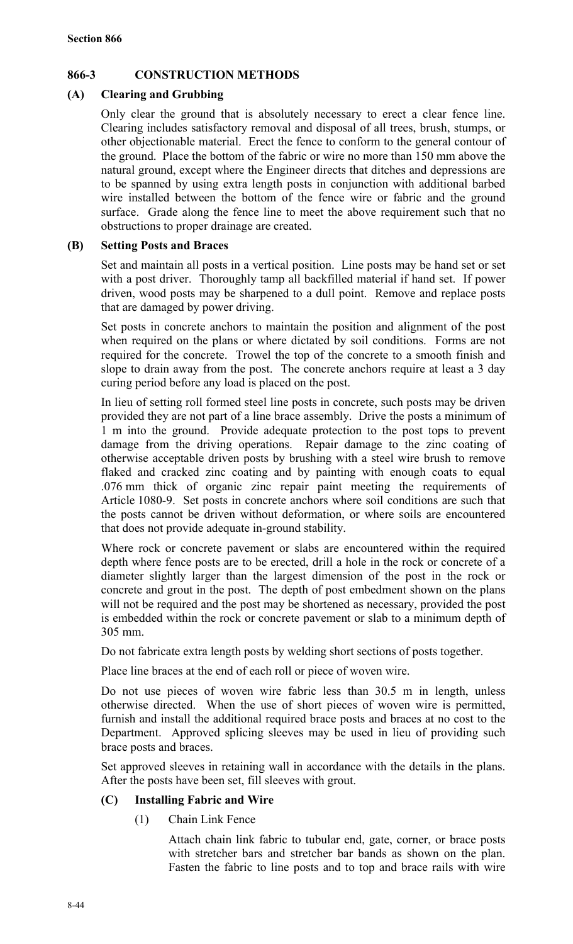## **866-3 CONSTRUCTION METHODS**

## **(A) Clearing and Grubbing**

Only clear the ground that is absolutely necessary to erect a clear fence line. Clearing includes satisfactory removal and disposal of all trees, brush, stumps, or other objectionable material. Erect the fence to conform to the general contour of the ground. Place the bottom of the fabric or wire no more than 150 mm above the natural ground, except where the Engineer directs that ditches and depressions are to be spanned by using extra length posts in conjunction with additional barbed wire installed between the bottom of the fence wire or fabric and the ground surface. Grade along the fence line to meet the above requirement such that no obstructions to proper drainage are created.

## **(B) Setting Posts and Braces**

Set and maintain all posts in a vertical position. Line posts may be hand set or set with a post driver. Thoroughly tamp all backfilled material if hand set. If power driven, wood posts may be sharpened to a dull point. Remove and replace posts that are damaged by power driving.

Set posts in concrete anchors to maintain the position and alignment of the post when required on the plans or where dictated by soil conditions. Forms are not required for the concrete. Trowel the top of the concrete to a smooth finish and slope to drain away from the post. The concrete anchors require at least a 3 day curing period before any load is placed on the post.

In lieu of setting roll formed steel line posts in concrete, such posts may be driven provided they are not part of a line brace assembly. Drive the posts a minimum of 1 m into the ground. Provide adequate protection to the post tops to prevent damage from the driving operations. Repair damage to the zinc coating of otherwise acceptable driven posts by brushing with a steel wire brush to remove flaked and cracked zinc coating and by painting with enough coats to equal .076 mm thick of organic zinc repair paint meeting the requirements of Article 1080-9. Set posts in concrete anchors where soil conditions are such that the posts cannot be driven without deformation, or where soils are encountered that does not provide adequate in-ground stability.

Where rock or concrete pavement or slabs are encountered within the required depth where fence posts are to be erected, drill a hole in the rock or concrete of a diameter slightly larger than the largest dimension of the post in the rock or concrete and grout in the post. The depth of post embedment shown on the plans will not be required and the post may be shortened as necessary, provided the post is embedded within the rock or concrete pavement or slab to a minimum depth of 305 mm.

Do not fabricate extra length posts by welding short sections of posts together.

Place line braces at the end of each roll or piece of woven wire.

Do not use pieces of woven wire fabric less than 30.5 m in length, unless otherwise directed. When the use of short pieces of woven wire is permitted, furnish and install the additional required brace posts and braces at no cost to the Department. Approved splicing sleeves may be used in lieu of providing such brace posts and braces.

Set approved sleeves in retaining wall in accordance with the details in the plans. After the posts have been set, fill sleeves with grout.

## **(C) Installing Fabric and Wire**

(1) Chain Link Fence

Attach chain link fabric to tubular end, gate, corner, or brace posts with stretcher bars and stretcher bar bands as shown on the plan. Fasten the fabric to line posts and to top and brace rails with wire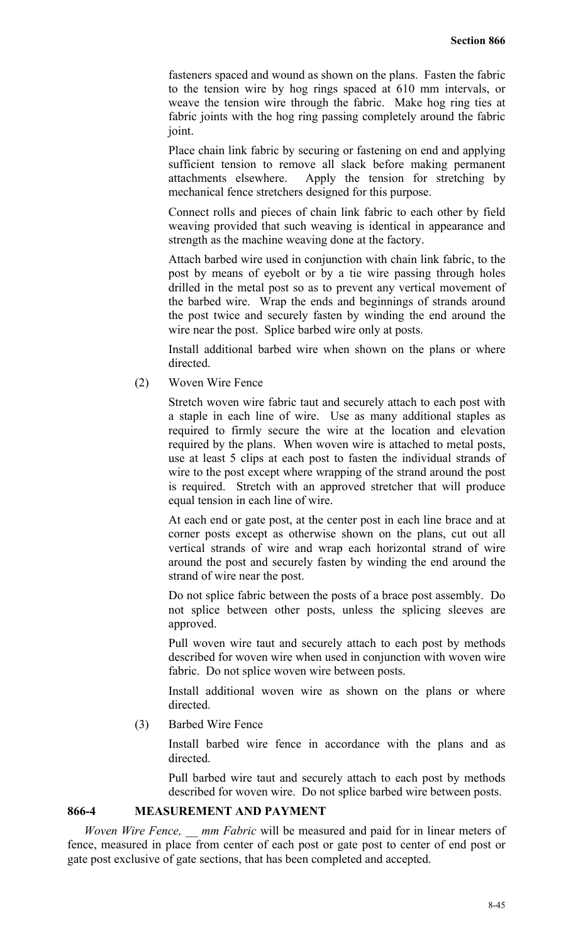fasteners spaced and wound as shown on the plans. Fasten the fabric to the tension wire by hog rings spaced at 610 mm intervals, or weave the tension wire through the fabric. Make hog ring ties at fabric joints with the hog ring passing completely around the fabric joint.

Place chain link fabric by securing or fastening on end and applying sufficient tension to remove all slack before making permanent attachments elsewhere. Apply the tension for stretching by mechanical fence stretchers designed for this purpose.

Connect rolls and pieces of chain link fabric to each other by field weaving provided that such weaving is identical in appearance and strength as the machine weaving done at the factory.

Attach barbed wire used in conjunction with chain link fabric, to the post by means of eyebolt or by a tie wire passing through holes drilled in the metal post so as to prevent any vertical movement of the barbed wire. Wrap the ends and beginnings of strands around the post twice and securely fasten by winding the end around the wire near the post. Splice barbed wire only at posts.

Install additional barbed wire when shown on the plans or where directed.

(2) Woven Wire Fence

Stretch woven wire fabric taut and securely attach to each post with a staple in each line of wire. Use as many additional staples as required to firmly secure the wire at the location and elevation required by the plans. When woven wire is attached to metal posts, use at least 5 clips at each post to fasten the individual strands of wire to the post except where wrapping of the strand around the post is required. Stretch with an approved stretcher that will produce equal tension in each line of wire.

At each end or gate post, at the center post in each line brace and at corner posts except as otherwise shown on the plans, cut out all vertical strands of wire and wrap each horizontal strand of wire around the post and securely fasten by winding the end around the strand of wire near the post.

Do not splice fabric between the posts of a brace post assembly. Do not splice between other posts, unless the splicing sleeves are approved.

Pull woven wire taut and securely attach to each post by methods described for woven wire when used in conjunction with woven wire fabric. Do not splice woven wire between posts.

Install additional woven wire as shown on the plans or where directed.

(3) Barbed Wire Fence

Install barbed wire fence in accordance with the plans and as directed.

Pull barbed wire taut and securely attach to each post by methods described for woven wire. Do not splice barbed wire between posts.

## **866-4 MEASUREMENT AND PAYMENT**

*Woven Wire Fence, \_\_ mm Fabric* will be measured and paid for in linear meters of fence, measured in place from center of each post or gate post to center of end post or gate post exclusive of gate sections, that has been completed and accepted.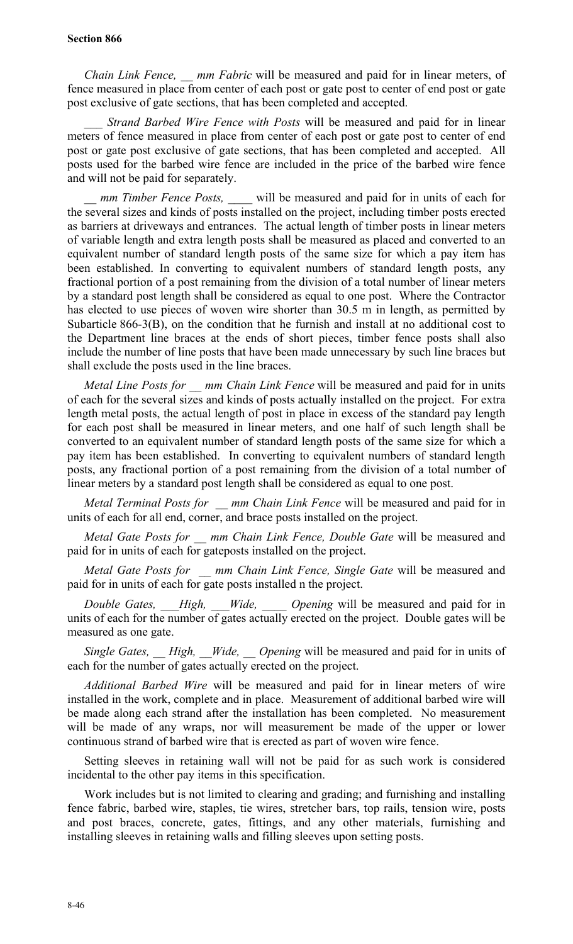#### **Section 866**

*Chain Link Fence, \_\_ mm Fabric* will be measured and paid for in linear meters, of fence measured in place from center of each post or gate post to center of end post or gate post exclusive of gate sections, that has been completed and accepted.

*Strand Barbed Wire Fence with Posts* will be measured and paid for in linear meters of fence measured in place from center of each post or gate post to center of end post or gate post exclusive of gate sections, that has been completed and accepted. All posts used for the barbed wire fence are included in the price of the barbed wire fence and will not be paid for separately.

*mm Timber Fence Posts,* will be measured and paid for in units of each for the several sizes and kinds of posts installed on the project, including timber posts erected as barriers at driveways and entrances. The actual length of timber posts in linear meters of variable length and extra length posts shall be measured as placed and converted to an equivalent number of standard length posts of the same size for which a pay item has been established. In converting to equivalent numbers of standard length posts, any fractional portion of a post remaining from the division of a total number of linear meters by a standard post length shall be considered as equal to one post. Where the Contractor has elected to use pieces of woven wire shorter than 30.5 m in length, as permitted by Subarticle 866-3(B), on the condition that he furnish and install at no additional cost to the Department line braces at the ends of short pieces, timber fence posts shall also include the number of line posts that have been made unnecessary by such line braces but shall exclude the posts used in the line braces.

*Metal Line Posts for \_\_ mm Chain Link Fence* will be measured and paid for in units of each for the several sizes and kinds of posts actually installed on the project. For extra length metal posts, the actual length of post in place in excess of the standard pay length for each post shall be measured in linear meters, and one half of such length shall be converted to an equivalent number of standard length posts of the same size for which a pay item has been established. In converting to equivalent numbers of standard length posts, any fractional portion of a post remaining from the division of a total number of linear meters by a standard post length shall be considered as equal to one post.

*Metal Terminal Posts for \_\_ mm Chain Link Fence* will be measured and paid for in units of each for all end, corner, and brace posts installed on the project.

*Metal Gate Posts for \_\_ mm Chain Link Fence, Double Gate* will be measured and paid for in units of each for gateposts installed on the project.

*Metal Gate Posts for \_\_ mm Chain Link Fence, Single Gate* will be measured and paid for in units of each for gate posts installed n the project.

*Double Gates, \_\_\_High, \_\_\_Wide, \_\_\_\_ Opening* will be measured and paid for in units of each for the number of gates actually erected on the project. Double gates will be measured as one gate.

*Single Gates, High, Wide, Opening* will be measured and paid for in units of each for the number of gates actually erected on the project.

*Additional Barbed Wire* will be measured and paid for in linear meters of wire installed in the work, complete and in place. Measurement of additional barbed wire will be made along each strand after the installation has been completed. No measurement will be made of any wraps, nor will measurement be made of the upper or lower continuous strand of barbed wire that is erected as part of woven wire fence.

Setting sleeves in retaining wall will not be paid for as such work is considered incidental to the other pay items in this specification.

Work includes but is not limited to clearing and grading; and furnishing and installing fence fabric, barbed wire, staples, tie wires, stretcher bars, top rails, tension wire, posts and post braces, concrete, gates, fittings, and any other materials, furnishing and installing sleeves in retaining walls and filling sleeves upon setting posts.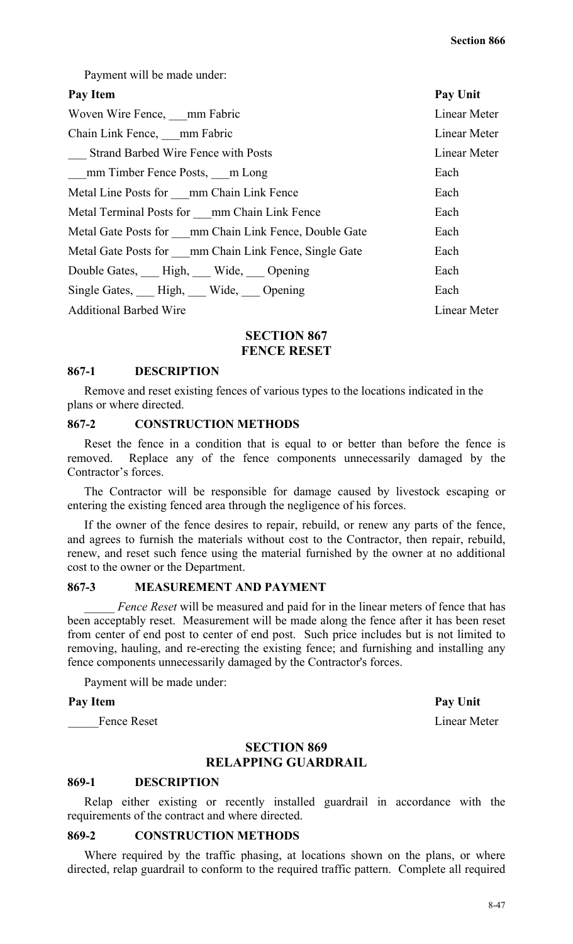Payment will be made under:

#### Pay Item Pay Unit

| Woven Wire Fence, mm Fabric                           | Linear Meter |
|-------------------------------------------------------|--------------|
| Chain Link Fence, mm Fabric                           | Linear Meter |
| Strand Barbed Wire Fence with Posts                   | Linear Meter |
| mm Timber Fence Posts, m Long                         | Each         |
| Metal Line Posts for mm Chain Link Fence              | Each         |
| Metal Terminal Posts for mm Chain Link Fence          | Each         |
| Metal Gate Posts for mm Chain Link Fence, Double Gate | Each         |
| Metal Gate Posts for mm Chain Link Fence, Single Gate | Each         |
| Double Gates, High, Wide, Opening                     | Each         |
| Single Gates, High, Wide, Opening                     | Each         |
| <b>Additional Barbed Wire</b>                         | Linear Meter |
|                                                       |              |

## **SECTION 867 FENCE RESET**

#### **867-1 DESCRIPTION**

Remove and reset existing fences of various types to the locations indicated in the plans or where directed.

## **867-2 CONSTRUCTION METHODS**

Reset the fence in a condition that is equal to or better than before the fence is removed. Replace any of the fence components unnecessarily damaged by the Contractor's forces.

The Contractor will be responsible for damage caused by livestock escaping or entering the existing fenced area through the negligence of his forces.

If the owner of the fence desires to repair, rebuild, or renew any parts of the fence, and agrees to furnish the materials without cost to the Contractor, then repair, rebuild, renew, and reset such fence using the material furnished by the owner at no additional cost to the owner or the Department.

#### **867-3 MEASUREMENT AND PAYMENT**

Fence Reset will be measured and paid for in the linear meters of fence that has been acceptably reset. Measurement will be made along the fence after it has been reset from center of end post to center of end post. Such price includes but is not limited to removing, hauling, and re-erecting the existing fence; and furnishing and installing any fence components unnecessarily damaged by the Contractor's forces.

Payment will be made under:

#### Pay Item Pay Unit

Fence Reset Linear Meter

# **SECTION 869**

## **RELAPPING GUARDRAIL**

#### **869-1 DESCRIPTION**

Relap either existing or recently installed guardrail in accordance with the requirements of the contract and where directed.

#### **869-2 CONSTRUCTION METHODS**

Where required by the traffic phasing, at locations shown on the plans, or where directed, relap guardrail to conform to the required traffic pattern. Complete all required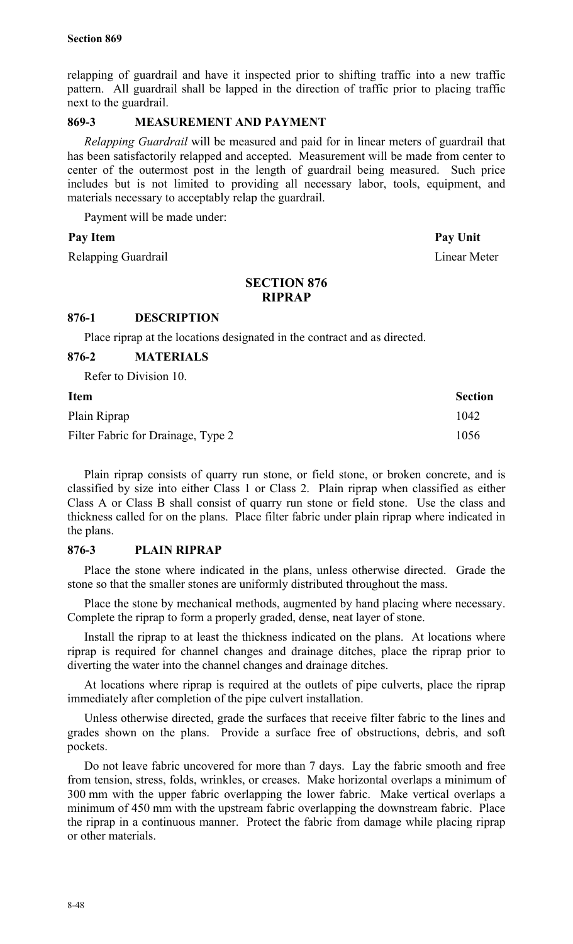relapping of guardrail and have it inspected prior to shifting traffic into a new traffic pattern. All guardrail shall be lapped in the direction of traffic prior to placing traffic next to the guardrail.

## **869-3 MEASUREMENT AND PAYMENT**

*Relapping Guardrail* will be measured and paid for in linear meters of guardrail that has been satisfactorily relapped and accepted. Measurement will be made from center to center of the outermost post in the length of guardrail being measured. Such price includes but is not limited to providing all necessary labor, tools, equipment, and materials necessary to acceptably relap the guardrail.

Payment will be made under:

## Pay Item Pay Unit

Relapping Guardrail **Linear Meter** 

## **SECTION 876 RIPRAP**

## **876-1 DESCRIPTION**

Place riprap at the locations designated in the contract and as directed.

## **876-2 MATERIALS**

Refer to Division 10.

| <b>Item</b>                        | <b>Section</b> |
|------------------------------------|----------------|
| Plain Riprap                       | 1042           |
| Filter Fabric for Drainage, Type 2 | 1056           |

Plain riprap consists of quarry run stone, or field stone, or broken concrete, and is classified by size into either Class 1 or Class 2. Plain riprap when classified as either Class A or Class B shall consist of quarry run stone or field stone. Use the class and thickness called for on the plans. Place filter fabric under plain riprap where indicated in the plans.

## **876-3 PLAIN RIPRAP**

Place the stone where indicated in the plans, unless otherwise directed. Grade the stone so that the smaller stones are uniformly distributed throughout the mass.

Place the stone by mechanical methods, augmented by hand placing where necessary. Complete the riprap to form a properly graded, dense, neat layer of stone.

Install the riprap to at least the thickness indicated on the plans. At locations where riprap is required for channel changes and drainage ditches, place the riprap prior to diverting the water into the channel changes and drainage ditches.

At locations where riprap is required at the outlets of pipe culverts, place the riprap immediately after completion of the pipe culvert installation.

Unless otherwise directed, grade the surfaces that receive filter fabric to the lines and grades shown on the plans. Provide a surface free of obstructions, debris, and soft pockets.

Do not leave fabric uncovered for more than 7 days. Lay the fabric smooth and free from tension, stress, folds, wrinkles, or creases. Make horizontal overlaps a minimum of 300 mm with the upper fabric overlapping the lower fabric. Make vertical overlaps a minimum of 450 mm with the upstream fabric overlapping the downstream fabric. Place the riprap in a continuous manner. Protect the fabric from damage while placing riprap or other materials.